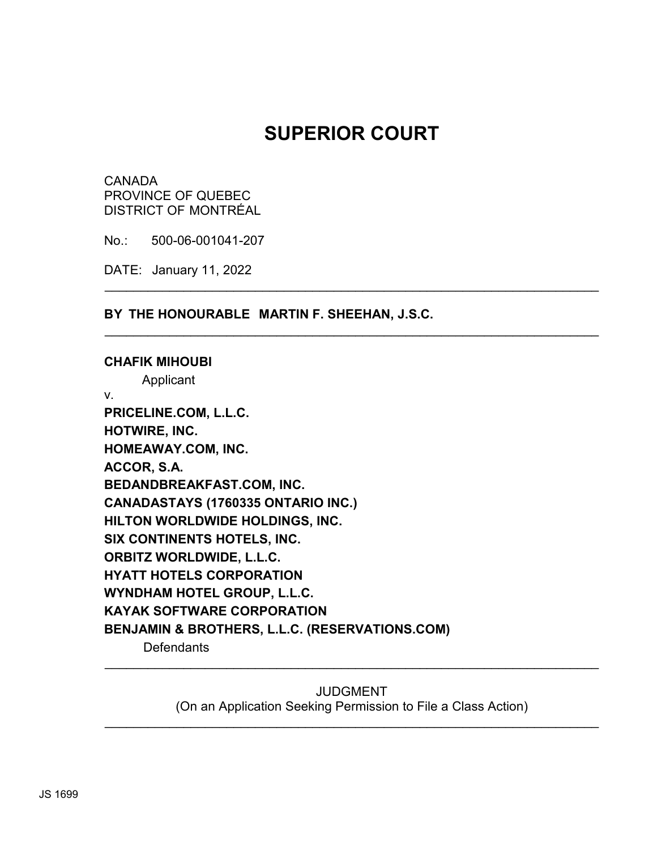# **SUPERIOR COURT**

\_\_\_\_\_\_\_\_\_\_\_\_\_\_\_\_\_\_\_\_\_\_\_\_\_\_\_\_\_\_\_\_\_\_\_\_\_\_\_\_\_\_\_\_\_\_\_\_\_\_\_\_\_\_\_\_\_\_\_\_\_\_\_\_\_\_\_\_\_

\_\_\_\_\_\_\_\_\_\_\_\_\_\_\_\_\_\_\_\_\_\_\_\_\_\_\_\_\_\_\_\_\_\_\_\_\_\_\_\_\_\_\_\_\_\_\_\_\_\_\_\_\_\_\_\_\_\_\_\_\_\_\_\_\_\_\_\_\_

CANADA PROVINCE OF QUEBEC DISTRICT OF MONTRÉAL

No.: 500-06-001041-207

DATE: January 11, 2022

**BY THE HONOURABLE MARTIN F. SHEEHAN, J.S.C.**

**CHAFIK MIHOUBI** Applicant v. **PRICELINE.COM, L.L.C. HOTWIRE, INC. HOMEAWAY.COM, INC. ACCOR, S.A. BEDANDBREAKFAST.COM, INC. CANADASTAYS (1760335 ONTARIO INC.) HILTON WORLDWIDE HOLDINGS, INC. SIX CONTINENTS HOTELS, INC. ORBITZ WORLDWIDE, L.L.C. HYATT HOTELS CORPORATION WYNDHAM HOTEL GROUP, L.L.C. KAYAK SOFTWARE CORPORATION BENJAMIN & BROTHERS, L.L.C. (RESERVATIONS.COM) Defendants** 

> JUDGMENT (On an Application Seeking Permission to File a Class Action)

\_\_\_\_\_\_\_\_\_\_\_\_\_\_\_\_\_\_\_\_\_\_\_\_\_\_\_\_\_\_\_\_\_\_\_\_\_\_\_\_\_\_\_\_\_\_\_\_\_\_\_\_\_\_\_\_\_\_\_\_\_\_\_\_\_\_\_\_\_

\_\_\_\_\_\_\_\_\_\_\_\_\_\_\_\_\_\_\_\_\_\_\_\_\_\_\_\_\_\_\_\_\_\_\_\_\_\_\_\_\_\_\_\_\_\_\_\_\_\_\_\_\_\_\_\_\_\_\_\_\_\_\_\_\_\_\_\_\_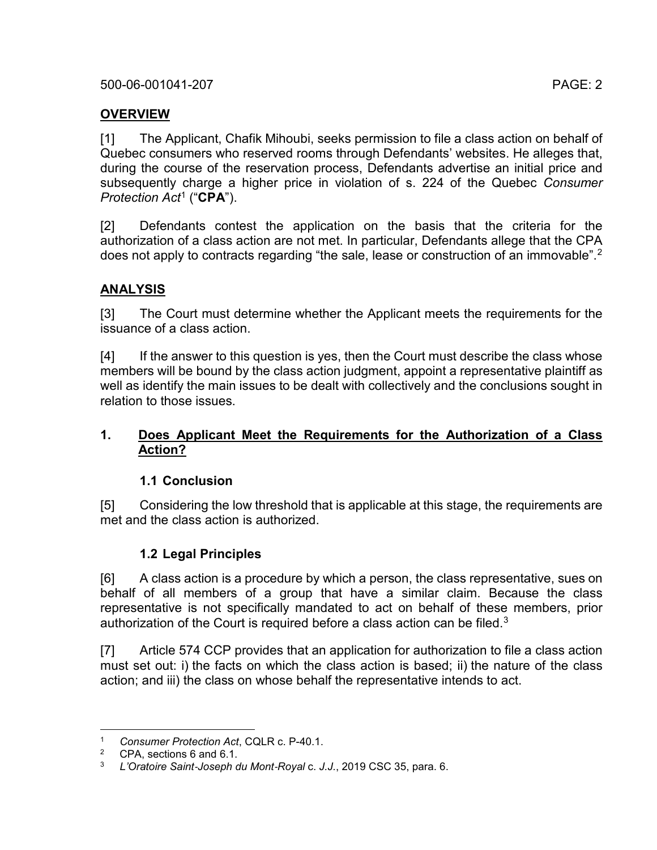# **OVERVIEW**

[1] The Applicant, Chafik Mihoubi, seeks permission to file a class action on behalf of Quebec consumers who reserved rooms through Defendants' websites. He alleges that, during the course of the reservation process, Defendants advertise an initial price and subsequently charge a higher price in violation of s. 224 of the Quebec *Consumer Protection Act* [1](#page-1-0) ("**CPA**").

[2] Defendants contest the application on the basis that the criteria for the authorization of a class action are not met. In particular, Defendants allege that the CPA does not apply to contracts regarding "the sale, lease or construction of an immovable".<sup>[2](#page-1-1)</sup>

# **ANALYSIS**

[3] The Court must determine whether the Applicant meets the requirements for the issuance of a class action.

[4] If the answer to this question is yes, then the Court must describe the class whose members will be bound by the class action judgment, appoint a representative plaintiff as well as identify the main issues to be dealt with collectively and the conclusions sought in relation to those issues.

# **1. Does Applicant Meet the Requirements for the Authorization of a Class Action?**

# **1.1 Conclusion**

[5] Considering the low threshold that is applicable at this stage, the requirements are met and the class action is authorized.

# <span id="page-1-3"></span>**1.2 Legal Principles**

[6] A class action is a procedure by which a person, the class representative, sues on behalf of all members of a group that have a similar claim. Because the class representative is not specifically mandated to act on behalf of these members, prior authorization of the Court is required before a class action can be filed.<sup>[3](#page-1-2)</sup>

[7] Article 574 CCP provides that an application for authorization to file a class action must set out: i) the facts on which the class action is based; ii) the nature of the class action; and iii) the class on whose behalf the representative intends to act.

<span id="page-1-1"></span><span id="page-1-0"></span> <sup>1</sup> *Consumer Protection Act*, CQLR c. P-40.1.

<span id="page-1-2"></span><sup>&</sup>lt;sup>2</sup> CPA, sections 6 and 6.1.<br><sup>3</sup> *L'Oratoire Saint Joseph C* 

<sup>3</sup> *L'Oratoire Saint*‑*Joseph du Mont*‑*Royal* c. *J.J.*, 2019 CSC 35, para. 6.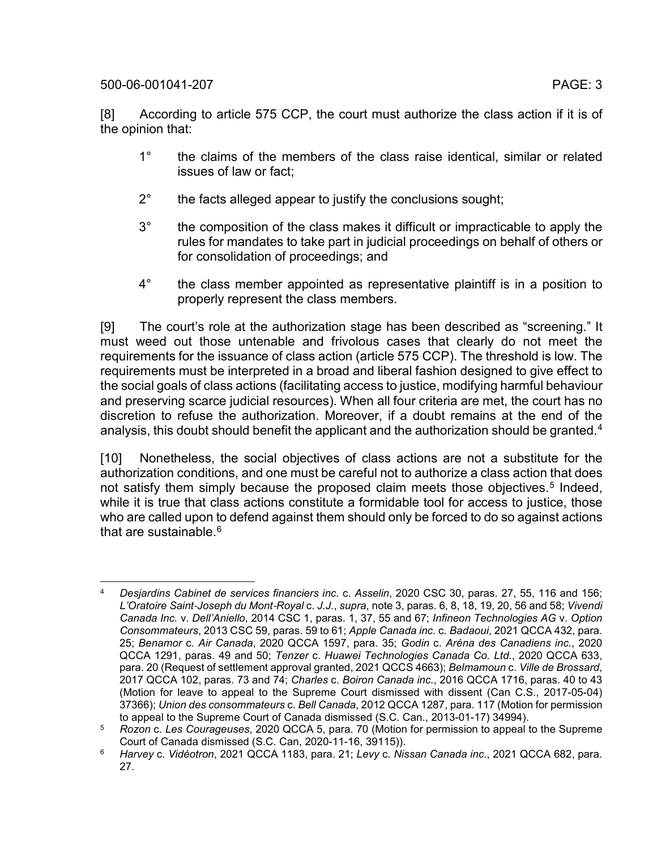- 1° the claims of the members of the class raise identical, similar or related issues of law or fact;
- 2° the facts alleged appear to justify the conclusions sought;
- 3° the composition of the class makes it difficult or impracticable to apply the rules for mandates to take part in judicial proceedings on behalf of others or for consolidation of proceedings; and
- <span id="page-2-3"></span>4° the class member appointed as representative plaintiff is in a position to properly represent the class members.

[9] The court's role at the authorization stage has been described as "screening." It must weed out those untenable and frivolous cases that clearly do not meet the requirements for the issuance of class action (article 575 CCP). The threshold is low. The requirements must be interpreted in a broad and liberal fashion designed to give effect to the social goals of class actions (facilitating access to justice, modifying harmful behaviour and preserving scarce judicial resources). When all four criteria are met, the court has no discretion to refuse the authorization. Moreover, if a doubt remains at the end of the analysis, this doubt should benefit the applicant and the authorization should be granted.<sup>[4](#page-2-0)</sup>

<span id="page-2-4"></span>[10] Nonetheless, the social objectives of class actions are not a substitute for the authorization conditions, and one must be careful not to authorize a class action that does not satisfy them simply because the proposed claim meets those objectives.<sup>[5](#page-2-1)</sup> Indeed, while it is true that class actions constitute a formidable tool for access to justice, those who are called upon to defend against them should only be forced to do so against actions that are sustainable  $6$ 

<span id="page-2-5"></span><span id="page-2-0"></span> <sup>4</sup> *Desjardins Cabinet de services financiers inc.* c. *Asselin*, 2020 CSC 30, paras. 27, 55, 116 and 156; *L'Oratoire Saint*‑*Joseph du Mont*‑*Royal* c. *J.J.*, *supra*, not[e 3,](#page-1-3) paras. 6, 8, 18, 19, 20, 56 and 58; *Vivendi Canada Inc.* v. *Dell'Aniello*, 2014 CSC 1, paras. 1, 37, 55 and 67; *Infineon Technologies AG* v. *Option Consommateurs*, 2013 CSC 59, paras. 59 to 61; *Apple Canada inc.* c. *Badaoui*, 2021 QCCA 432, para. 25; *Benamor* c. *Air Canada*, 2020 QCCA 1597, para. 35; *Godin* c. *Aréna des Canadiens inc.*, 2020 QCCA 1291, paras. 49 and 50; *Tenzer* c. *Huawei Technologies Canada Co. Ltd.*, 2020 QCCA 633, para. 20 (Request of settlement approval granted, 2021 QCCS 4663); *Belmamoun* c. *Ville de Brossard*, 2017 QCCA 102, paras. 73 and 74; *Charles* c. *Boiron Canada inc.*, 2016 QCCA 1716, paras. 40 to 43 (Motion for leave to appeal to the Supreme Court dismissed with dissent (Can C.S., 2017-05-04) 37366); *Union des consommateurs* c. *Bell Canada*, 2012 QCCA 1287, para. 117 (Motion for permission to appeal to the Supreme Court of Canada dismissed (S.C. Can., 2013-01-17) 34994).

<span id="page-2-1"></span><sup>5</sup> *Rozon* c. *Les Courageuses*, 2020 QCCA 5, para. 70 (Motion for permission to appeal to the Supreme Court of Canada dismissed (S.C. Can, 2020-11-16, 39115)).

<span id="page-2-2"></span><sup>6</sup> *Harvey* c. *Vidéotron*, 2021 QCCA 1183, para. 21; *Levy* c. *Nissan Canada inc.*, 2021 QCCA 682, para. 27.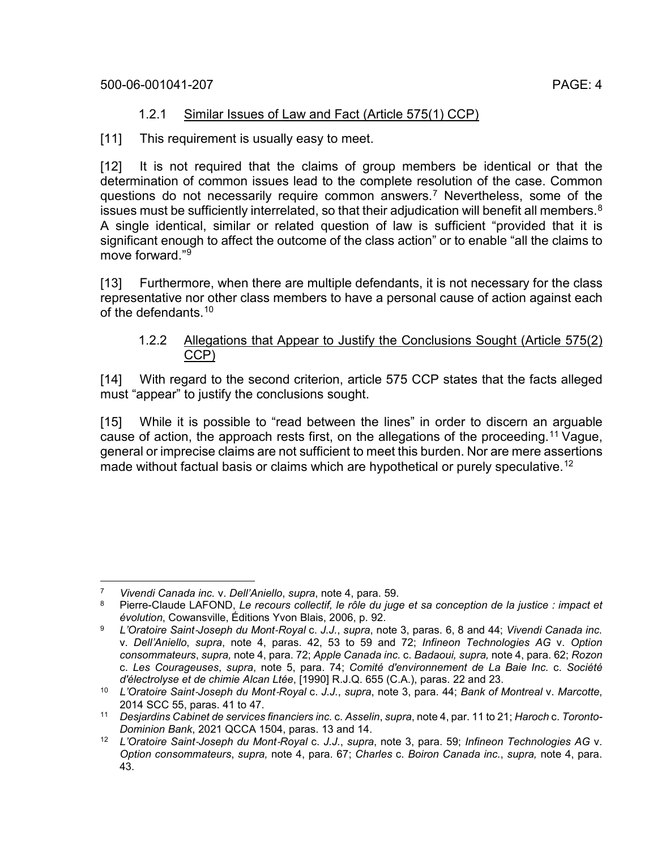[11] This requirement is usually easy to meet.

[12] It is not required that the claims of group members be identical or that the determination of common issues lead to the complete resolution of the case. Common questions do not necessarily require common answers.[7](#page-3-0) Nevertheless, some of the issues must be sufficiently interrelated, so that their adjudication will benefit all members.<sup>[8](#page-3-1)</sup> A single identical, similar or related question of law is sufficient "provided that it is significant enough to affect the outcome of the class action" or to enable "all the claims to move forward."[9](#page-3-2)

[13] Furthermore, when there are multiple defendants, it is not necessary for the class representative nor other class members to have a personal cause of action against each of the defendants. [10](#page-3-3)

# <span id="page-3-6"></span>1.2.2 Allegations that Appear to Justify the Conclusions Sought (Article 575(2) CCP)

[14] With regard to the second criterion, article 575 CCP states that the facts alleged must "appear" to justify the conclusions sought.

[15] While it is possible to "read between the lines" in order to discern an arguable cause of action, the approach rests first, on the allegations of the proceeding.[11](#page-3-4) Vague, general or imprecise claims are not sufficient to meet this burden. Nor are mere assertions made without factual basis or claims which are hypothetical or purely speculative.<sup>[12](#page-3-5)</sup>

<span id="page-3-1"></span><span id="page-3-0"></span> <sup>7</sup> *Vivendi Canada inc.* v. *Dell'Aniello*, *supra*, note [4,](#page-2-3) para. 59.

<sup>8</sup> Pierre-Claude LAFOND, *Le recours collectif, le rôle du juge et sa conception de la justice : impact et évolution*, Cowansville, Éditions Yvon Blais, 2006, p. 92.

<span id="page-3-2"></span><sup>9</sup> *L'Oratoire Saint*‑*Joseph du Mont*‑*Royal* c. *J.J.*, *supra*, note [3,](#page-1-3) paras. 6, 8 and 44; *Vivendi Canada inc.*  v. *Dell'Aniello*, *supra*, note [4,](#page-2-3) paras. 42, 53 to 59 and 72; *Infineon Technologies AG* v. *Option consommateurs*, *supra,* note [4,](#page-2-3) para. 72; *Apple Canada inc.* c. *Badaoui, supra,* note [4,](#page-2-3) para. 62; *Rozon*  c. *Les Courageuses*, *supra*, note [5,](#page-2-4) para. 74; *Comité d'environnement de La Baie Inc.* c. *Société d'électrolyse et de chimie Alcan Ltée*, [1990] R.J.Q. 655 (C.A.), paras. [22 and 23.](https://unik.caij.qc.ca/permalien/fr/qc/qcca/doc/1990/1990canlii3338/1990canlii3338?anchor=par22)

<span id="page-3-3"></span><sup>10</sup> *L'Oratoire Saint*‑*Joseph du Mont*‑*Royal* c. *J.J.*, *supra*, note [3,](#page-1-3) para. 44; *Bank of Montreal* v. *Marcotte*, 2014 SCC 55, paras. 41 to 47.

<span id="page-3-4"></span><sup>11</sup> *Desjardins Cabinet de services financiers inc.* c. *Asselin*, *supra*, not[e 4,](#page-2-3) par. 11 to 21; *Haroch* c. *Toronto-Dominion Bank*, 2021 QCCA 1504, paras. 13 and 14.

<span id="page-3-5"></span><sup>12</sup> *L'Oratoire Saint*‑*Joseph du Mont*‑*Royal* c. *J.J.*, *supra*, note [3,](#page-1-3) para. 59; *Infineon Technologies AG* v. *Option consommateurs*, *supra,* note [4,](#page-2-3) para. 67; *Charles* c. *Boiron Canada inc.*, *supra,* note [4,](#page-2-3) para. 43.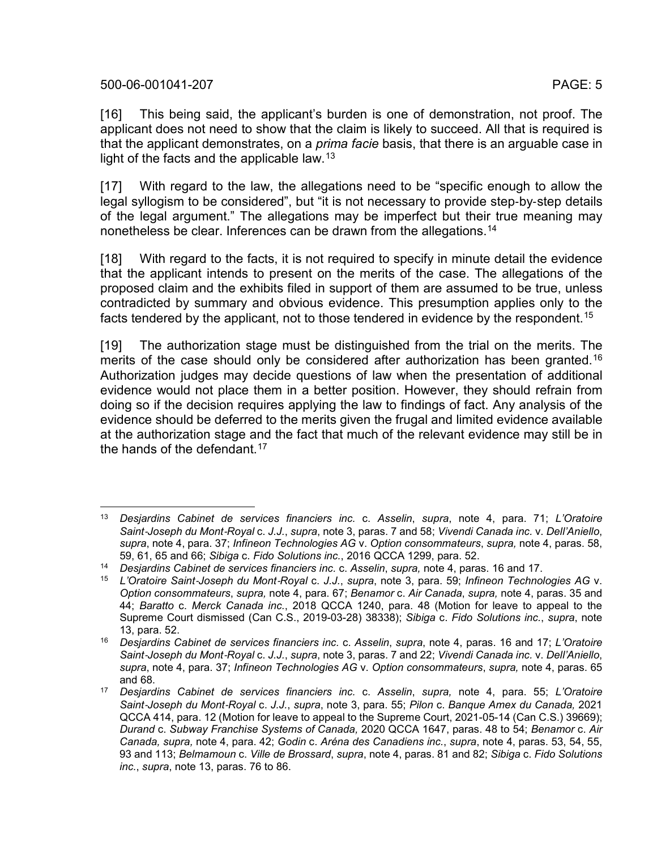[16] This being said, the applicant's burden is one of demonstration, not proof. The applicant does not need to show that the claim is likely to succeed. All that is required is that the applicant demonstrates, on a *prima facie* basis, that there is an arguable case in light of the facts and the applicable law.  $13$ 

<span id="page-4-0"></span>[17] With regard to the law, the allegations need to be "specific enough to allow the legal syllogism to be considered", but "it is not necessary to provide step-by-step details of the legal argument." The allegations may be imperfect but their true meaning may nonetheless be clear. Inferences can be drawn from the allegations.[14](#page-4-2)

[18] With regard to the facts, it is not required to specify in minute detail the evidence that the applicant intends to present on the merits of the case. The allegations of the proposed claim and the exhibits filed in support of them are assumed to be true, unless contradicted by summary and obvious evidence. This presumption applies only to the facts tendered by the applicant, not to those tendered in evidence by the respondent.<sup>[15](#page-4-3)</sup>

[19] The authorization stage must be distinguished from the trial on the merits. The merits of the case should only be considered after authorization has been granted.[16](#page-4-4) Authorization judges may decide questions of law when the presentation of additional evidence would not place them in a better position. However, they should refrain from doing so if the decision requires applying the law to findings of fact. Any analysis of the evidence should be deferred to the merits given the frugal and limited evidence available at the authorization stage and the fact that much of the relevant evidence may still be in the hands of the defendant.  $17<sup>17</sup>$  $17<sup>17</sup>$ 

<span id="page-4-6"></span><span id="page-4-1"></span> <sup>13</sup> *Desjardins Cabinet de services financiers inc.* c. *Asselin*, *supra*, note [4,](#page-2-3) para. 71; *L'Oratoire Saint*‑*Joseph du Mont*‑*Royal* c. *J.J.*, *supra*, note [3,](#page-1-3) paras. 7 and 58; *Vivendi Canada inc.* v. *Dell'Aniello*, *supra*, note [4,](#page-2-3) para. 37; *Infineon Technologies AG* v. *Option consommateurs*, *supra,* note [4,](#page-2-3) paras. 58, 59, 61, 65 and 66; *Sibiga* c. *Fido Solutions inc.*, 2016 QCCA 1299, para. 52.

<span id="page-4-2"></span><sup>14</sup> *Desjardins Cabinet de services financiers inc.* c. *Asselin*, *supra,* note [4,](#page-2-3) paras. 16 and 17.

<span id="page-4-3"></span><sup>15</sup> *L'Oratoire Saint*‑*Joseph du Mont*‑*Royal* c. *J.J.*, *supra*, note [3,](#page-1-3) para. 59; *Infineon Technologies AG* v. *Option consommateurs*, *supra,* note [4,](#page-2-3) para. 67; *Benamor* c. *Air Canada*, *supra,* note [4,](#page-2-3) paras. 35 and 44; *Baratto* c. *Merck Canada inc.*, 2018 QCCA 1240, para. 48 (Motion for leave to appeal to the Supreme Court dismissed (Can C.S., 2019-03-28) 38338); *Sibiga* c. *Fido Solutions inc.*, *supra*, note [13,](#page-4-0) para. 52.

<span id="page-4-4"></span><sup>16</sup> *Desjardins Cabinet de services financiers inc.* c. *Asselin*, *supra*, note [4,](#page-2-3) paras. 16 and 17; *L'Oratoire Saint*‑*Joseph du Mont*‑*Royal* c. *J.J.*, *supra*, note [3,](#page-1-3) paras. 7 and 22; *Vivendi Canada inc.* v. *Dell'Aniello*, *supra*, note [4,](#page-2-3) para. 37; *Infineon Technologies AG* v. *Option consommateurs*, *supra,* note [4,](#page-2-3) paras. 65 and 68.

<span id="page-4-5"></span><sup>17</sup> *Desjardins Cabinet de services financiers inc.* c. *Asselin*, *supra,* note [4,](#page-2-3) para. 55; *L'Oratoire Saint*‑*Joseph du Mont*‑*Royal* c. *J.J.*, *supra*, note [3,](#page-1-3) para. 55; *Pilon* c. *Banque Amex du Canada,* 2021 QCCA 414, para. 12 (Motion for leave to appeal to the Supreme Court, 2021-05-14 (Can C.S.) 39669); *Durand* c. *Subway Franchise Systems of Canada,* 2020 QCCA 1647, paras. 48 to 54; *Benamor* c. *Air Canada, supra,* note [4,](#page-2-3) para. 42; *Godin* c. *Aréna des Canadiens inc.*, *supra*, note [4,](#page-2-3) paras. 53, 54, 55, 93 and 113; *Belmamoun* c. *Ville de Brossard*, *supra*, note [4,](#page-2-3) paras. 81 and 82; *Sibiga* c. *Fido Solutions inc.*, *supra*, note [13,](#page-4-0) paras. 76 to 86.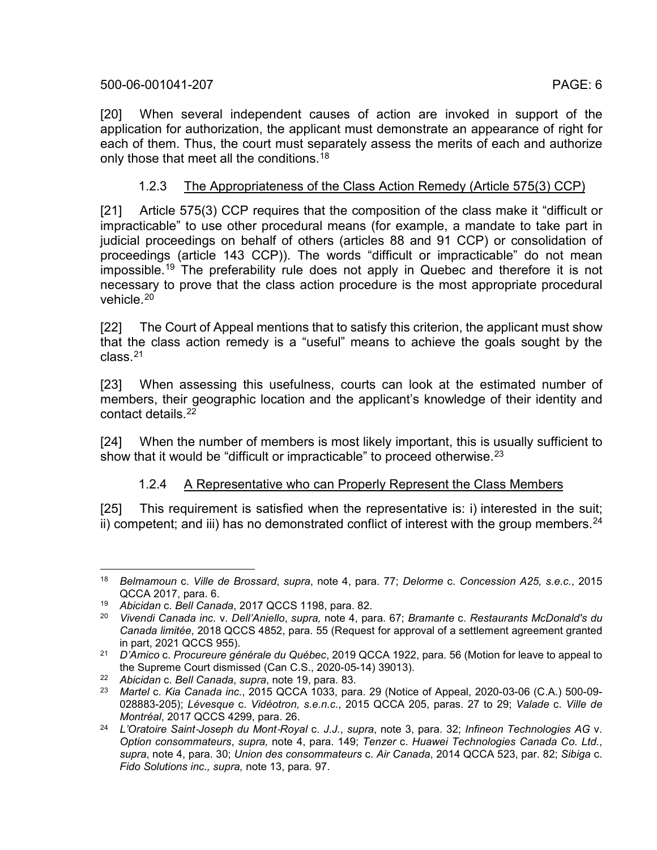[20] When several independent causes of action are invoked in support of the application for authorization, the applicant must demonstrate an appearance of right for each of them. Thus, the court must separately assess the merits of each and authorize only those that meet all the conditions. [18](#page-5-1)

## 1.2.3 The Appropriateness of the Class Action Remedy (Article 575(3) CCP)

[21] Article 575(3) CCP requires that the composition of the class make it "difficult or impracticable" to use other procedural means (for example, a mandate to take part in judicial proceedings on behalf of others (articles 88 and 91 CCP) or consolidation of proceedings (article 143 CCP)). The words "difficult or impracticable" do not mean impossible.[19](#page-5-2) The preferability rule does not apply in Quebec and therefore it is not necessary to prove that the class action procedure is the most appropriate procedural vehicle.<sup>[20](#page-5-3)</sup>

<span id="page-5-0"></span>[22] The Court of Appeal mentions that to satisfy this criterion, the applicant must show that the class action remedy is a "useful" means to achieve the goals sought by the class.[21](#page-5-4)

[23] When assessing this usefulness, courts can look at the estimated number of members, their geographic location and the applicant's knowledge of their identity and contact details.<sup>[22](#page-5-5)</sup>

[24] When the number of members is most likely important, this is usually sufficient to show that it would be "difficult or impracticable" to proceed otherwise.<sup>[23](#page-5-6)</sup>

#### <span id="page-5-9"></span><span id="page-5-8"></span>1.2.4 A Representative who can Properly Represent the Class Members

[25] This requirement is satisfied when the representative is: i) interested in the suit; ii) competent; and iii) has no demonstrated conflict of interest with the group members.  $24$ 

<span id="page-5-1"></span> <sup>18</sup> *Belmamoun* c. *Ville de Brossard*, *supra*, note [4,](#page-2-3) para. 77; *Delorme* c. *Concession A25, s.e.c.*, 2015 QCCA 2017, para. 6.

<span id="page-5-2"></span><sup>19</sup> *Abicidan* c. *Bell Canada*, 2017 QCCS 1198, para. 82.

<span id="page-5-3"></span><sup>20</sup> *Vivendi Canada inc.* v. *Dell'Aniello*, *supra,* note [4,](#page-2-3) para. 67; *Bramante* c. *Restaurants McDonald's du Canada limitée*, 2018 QCCS 4852, para. 55 (Request for approval of a settlement agreement granted in part, 2021 QCCS 955).

<span id="page-5-4"></span><sup>21</sup> *D'Amico* c. *Procureure générale du Québec*, 2019 QCCA 1922, para. 56 (Motion for leave to appeal to the Supreme Court dismissed (Can C.S., 2020-05-14) 39013).

<span id="page-5-5"></span><sup>22</sup> *Abicidan* c. *Bell Canada*, *supra*, note [19,](#page-5-0) para. 83.

<span id="page-5-6"></span><sup>23</sup> *Martel* c. *Kia Canada inc.*, 2015 QCCA 1033, para. 29 (Notice of Appeal, 2020-03-06 (C.A.) 500-09- 028883-205); *Lévesque* c. *Vidéotron, s.e.n.c.*, 2015 QCCA 205, paras. 27 to 29; *Valade* c. *Ville de Montréal*, 2017 QCCS 4299, para. 26.

<span id="page-5-7"></span><sup>24</sup> *L'Oratoire Saint*‑*Joseph du Mont*‑*Royal* c. *J.J.*, *supra*, note [3,](#page-1-3) para. 32; *Infineon Technologies AG* v. *Option consommateurs*, *supra,* note [4,](#page-2-3) para. 149; *Tenzer* c. *Huawei Technologies Canada Co. Ltd.*, *supra*, note [4,](#page-2-3) para. 30; *Union des consommateurs* c. *Air Canada*, 2014 QCCA 523, par. 82; *Sibiga* c. *Fido Solutions inc., supra,* note [13,](#page-4-0) para. 97.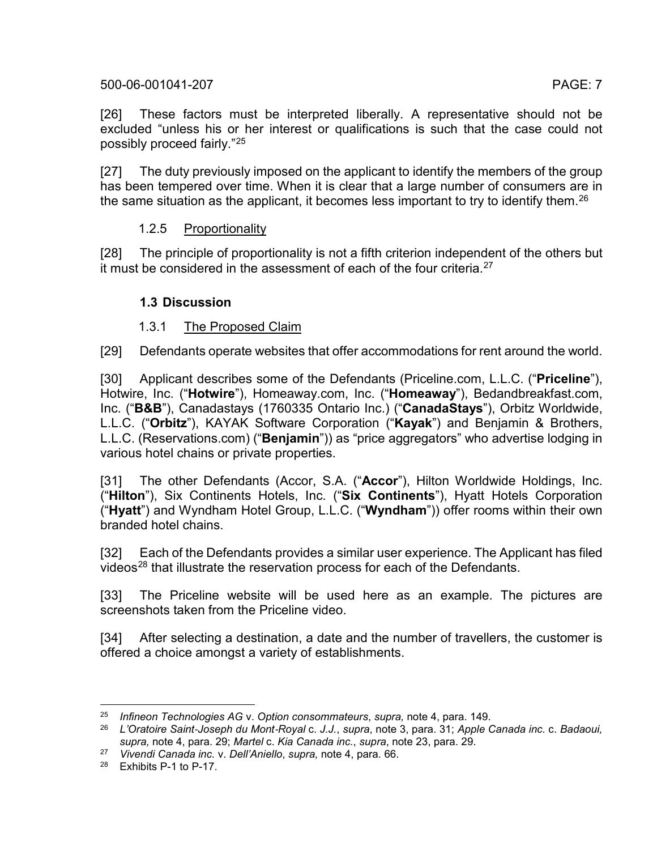[26] These factors must be interpreted liberally. A representative should not be excluded "unless his or her interest or qualifications is such that the case could not possibly proceed fairly."[25](#page-6-0)

[27] The duty previously imposed on the applicant to identify the members of the group has been tempered over time. When it is clear that a large number of consumers are in the same situation as the applicant, it becomes less important to try to identify them.<sup>[26](#page-6-1)</sup>

# 1.2.5 Proportionality

[28] The principle of proportionality is not a fifth criterion independent of the others but it must be considered in the assessment of each of the four criteria.<sup>[27](#page-6-2)</sup>

# **1.3 Discussion**

# 1.3.1 The Proposed Claim

[29] Defendants operate websites that offer accommodations for rent around the world.

[30] Applicant describes some of the Defendants (Priceline.com, L.L.C. ("**Priceline**"), Hotwire, Inc. ("**Hotwire**"), Homeaway.com, Inc. ("**Homeaway**"), Bedandbreakfast.com, Inc. ("**B&B**"), Canadastays (1760335 Ontario Inc.) ("**CanadaStays**"), Orbitz Worldwide, L.L.C. ("**Orbitz**"), KAYAK Software Corporation ("**Kayak**") and Benjamin & Brothers, L.L.C. (Reservations.com) ("**Benjamin**")) as "price aggregators" who advertise lodging in various hotel chains or private properties.

[31] The other Defendants (Accor, S.A. ("**Accor**"), Hilton Worldwide Holdings, Inc. ("**Hilton**"), Six Continents Hotels, Inc. ("**Six Continents**"), Hyatt Hotels Corporation ("**Hyatt**") and Wyndham Hotel Group, L.L.C. ("**Wyndham**")) offer rooms within their own branded hotel chains.

[32] Each of the Defendants provides a similar user experience. The Applicant has filed videos<sup>[28](#page-6-3)</sup> that illustrate the reservation process for each of the Defendants.

[33] The Priceline website will be used here as an example. The pictures are screenshots taken from the Priceline video.

[34] After selecting a destination, a date and the number of travellers, the customer is offered a choice amongst a variety of establishments.

<span id="page-6-0"></span> <sup>25</sup> *Infineon Technologies AG* v. *Option consommateurs*, *supra,* note [4,](#page-2-3) para. 149.

<span id="page-6-1"></span><sup>26</sup> *L'Oratoire Saint*‑*Joseph du Mont*‑*Royal* c. *J.J.*, *supra*, note [3,](#page-1-3) para. 31; *Apple Canada inc.* c. *Badaoui, supra,* note [4,](#page-2-3) para. 29; *Martel* c. *Kia Canada inc.*, *supra*, note [23,](#page-5-8) para. 29.

<span id="page-6-2"></span><sup>27</sup> *Vivendi Canada inc.* v. *Dell'Aniello*, *supra,* note [4,](#page-2-3) para. 66.

<span id="page-6-3"></span><sup>28</sup> Exhibits P-1 to P-17.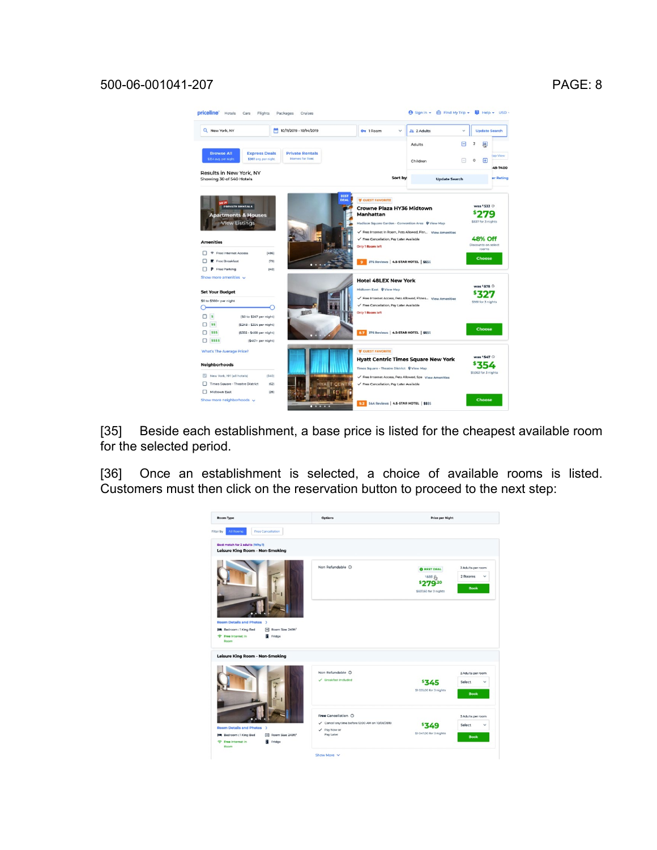

[35] Beside each establishment, a base price is listed for the cheapest available room for the selected period.

[36] Once an establishment is selected, a choice of available rooms is listed. Customers must then click on the reservation button to proceed to the next step:

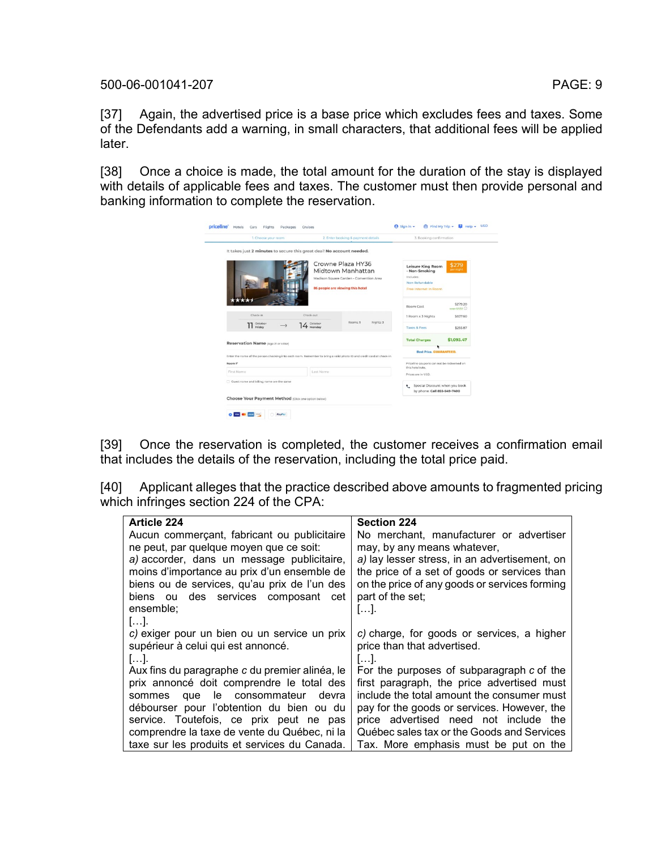[37] Again, the advertised price is a base price which excludes fees and taxes. Some of the Defendants add a warning, in small characters, that additional fees will be applied later.

[38] Once a choice is made, the total amount for the duration of the stay is displayed with details of applicable fees and taxes. The customer must then provide personal and banking information to complete the reservation.

| 1. Choose your room                                                   | 2. Enter booking & payment details                                                                                    | 3. Booking confirmation                                                                    |                      |
|-----------------------------------------------------------------------|-----------------------------------------------------------------------------------------------------------------------|--------------------------------------------------------------------------------------------|----------------------|
| It takes just 2 minutes to secure this great deal! No account needed. |                                                                                                                       |                                                                                            |                      |
|                                                                       | Crowne Plaza HY36<br>Midtown Manhattan<br>Madison Square Garden - Convention Area<br>86 people are viewing this hotel | Leisure King Room<br>- Non-Smoking<br>Includes:<br>Non Refundable<br>Free Internet In Room | \$279<br>per night   |
|                                                                       |                                                                                                                       | Room Cost                                                                                  | \$279.20<br>max 4222 |
| Check-in                                                              | Check-out                                                                                                             | 1 Room x 3 Nights                                                                          | \$837.60             |
| TT October                                                            | Rooms: 1<br>Nights: 3<br>14 October                                                                                   | <b>Taxes &amp; Fees</b>                                                                    | \$255.87             |
| Reservation Name (Age 21 or older)                                    |                                                                                                                       | <b>Total Charges</b>                                                                       | \$1,093.47           |
|                                                                       | Enter the name of the person checking into each room. Remember to bring a valid photo ID and credit card at check-in. | <b>Best Price, GUARANTEED.</b>                                                             |                      |
| Room <sup>7*</sup>                                                    |                                                                                                                       | Priceline coupons can not be redeemed on                                                   |                      |
| First Name                                                            | Last Name                                                                                                             | this hotel rate.<br>Prices are in USD.                                                     |                      |
| Ouest name and billing name are the same                              |                                                                                                                       | Special Discount when you book<br>by phone: Call 855-549-7400                              |                      |
| Choose Your Payment Method (Click one option below)                   |                                                                                                                       |                                                                                            |                      |

[39] Once the reservation is completed, the customer receives a confirmation email that includes the details of the reservation, including the total price paid.

[40] Applicant alleges that the practice described above amounts to fragmented pricing which infringes section 224 of the CPA:

| <b>Article 224</b>                             | <b>Section 224</b>                            |
|------------------------------------------------|-----------------------------------------------|
| Aucun commerçant, fabricant ou publicitaire    | No merchant, manufacturer or advertiser       |
| ne peut, par quelque moyen que ce soit:        | may, by any means whatever,                   |
| a) accorder, dans un message publicitaire,     | a) lay lesser stress, in an advertisement, on |
| moins d'importance au prix d'un ensemble de    | the price of a set of goods or services than  |
| biens ou de services, qu'au prix de l'un des   | on the price of any goods or services forming |
| biens ou des services composant cet            | part of the set;                              |
| ensemble;                                      | [].                                           |
| $[]$ .                                         |                                               |
| c) exiger pour un bien ou un service un prix   | c) charge, for goods or services, a higher    |
| supérieur à celui qui est annoncé.             | price than that advertised.                   |
| $\  \ .$                                       | المما                                         |
| Aux fins du paragraphe c du premier alinéa, le | For the purposes of subparagraph c of the     |
| prix annoncé doit comprendre le total des      | first paragraph, the price advertised must    |
| sommes que le consommateur<br>devra            | include the total amount the consumer must    |
| débourser pour l'obtention du bien ou du       | pay for the goods or services. However, the   |
| service. Toutefois, ce prix peut ne pas        | price advertised need not include the         |
| comprendre la taxe de vente du Québec, ni la   | Québec sales tax or the Goods and Services    |
| taxe sur les produits et services du Canada.   | Tax. More emphasis must be put on the         |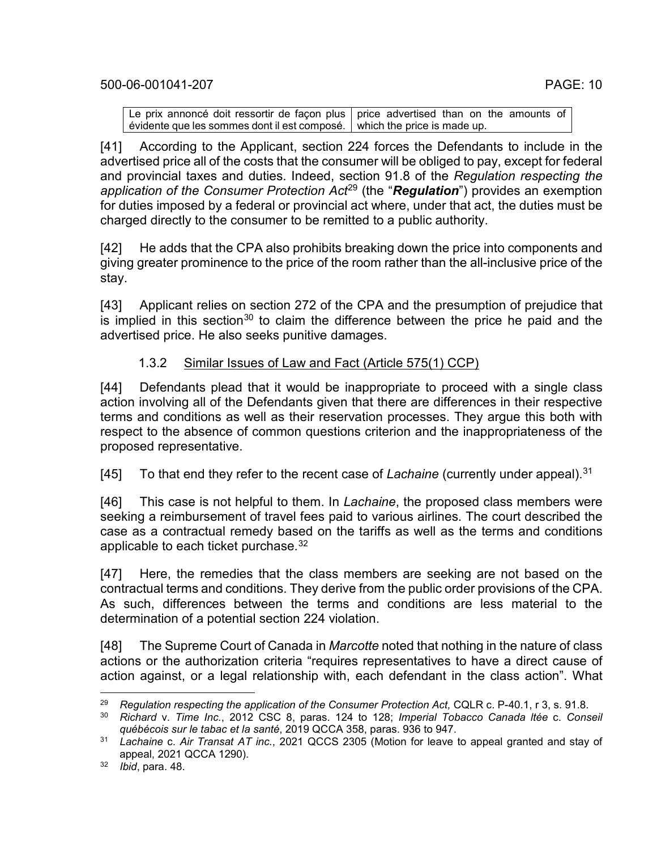Le prix annoncé doit ressortir de façon plus | price advertised than on the amounts of <u>évidente que les sommes dont il est composé. | which the price is made up.</u>

[41] According to the Applicant, section 224 forces the Defendants to include in the advertised price all of the costs that the consumer will be obliged to pay, except for federal and provincial taxes and duties. Indeed, section 91.8 of the *Regulation respecting the application of the Consumer Protection Act*[29](#page-9-0) (the "*Regulation*") provides an exemption for duties imposed by a federal or provincial act where, under that act, the duties must be charged directly to the consumer to be remitted to a public authority.

[42] He adds that the CPA also prohibits breaking down the price into components and giving greater prominence to the price of the room rather than the all-inclusive price of the stay.

[43] Applicant relies on section 272 of the CPA and the presumption of prejudice that is implied in this section<sup>[30](#page-9-1)</sup> to claim the difference between the price he paid and the advertised price. He also seeks punitive damages.

# <span id="page-9-4"></span>1.3.2 Similar Issues of Law and Fact (Article 575(1) CCP)

[44] Defendants plead that it would be inappropriate to proceed with a single class action involving all of the Defendants given that there are differences in their respective terms and conditions as well as their reservation processes. They argue this both with respect to the absence of common questions criterion and the inappropriateness of the proposed representative.

[45] To that end they refer to the recent case of *Lachaine* (currently under appeal). [31](#page-9-2)

[46] This case is not helpful to them. In *Lachaine*, the proposed class members were seeking a reimbursement of travel fees paid to various airlines. The court described the case as a contractual remedy based on the tariffs as well as the terms and conditions applicable to each ticket purchase.[32](#page-9-3)

[47] Here, the remedies that the class members are seeking are not based on the contractual terms and conditions. They derive from the public order provisions of the CPA. As such, differences between the terms and conditions are less material to the determination of a potential section 224 violation.

[48] The Supreme Court of Canada in *Marcotte* noted that nothing in the nature of class actions or the authorization criteria "requires representatives to have a direct cause of action against, or a legal relationship with, each defendant in the class action". What

<span id="page-9-0"></span><sup>&</sup>lt;sup>29</sup> *Regulation respecting the application of the Consumer Protection Act, CQLR c. P-40.1, r 3, s. 91.8.* 

<span id="page-9-1"></span><sup>30</sup> *Richard* v. *Time Inc.*, 2012 CSC 8, paras. 124 to 128; *Imperial Tobacco Canada ltée* c. *Conseil québécois sur le tabac et la santé*, 2019 QCCA 358, paras. 936 to 947.

<span id="page-9-2"></span><sup>31</sup> *Lachaine* c. *Air Transat AT inc.*, 2021 QCCS 2305 (Motion for leave to appeal granted and stay of appeal, 2021 QCCA 1290).

<span id="page-9-3"></span><sup>32</sup> *Ibid*, para. 48.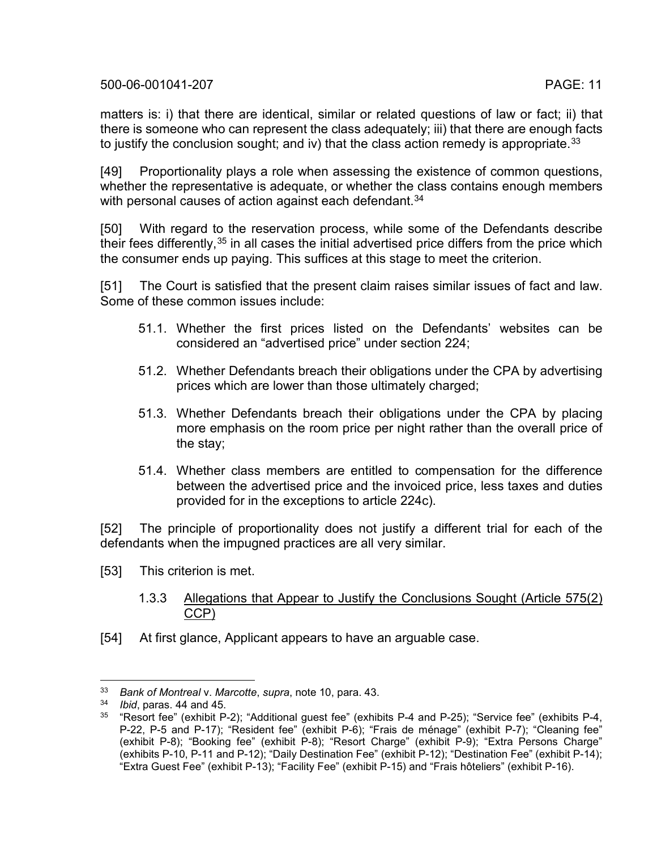matters is: i) that there are identical, similar or related questions of law or fact; ii) that there is someone who can represent the class adequately; iii) that there are enough facts to justify the conclusion sought; and iv) that the class action remedy is appropriate.  $33$ 

[49] Proportionality plays a role when assessing the existence of common questions, whether the representative is adequate, or whether the class contains enough members with personal causes of action against each defendant.<sup>[34](#page-10-1)</sup>

[50] With regard to the reservation process, while some of the Defendants describe their fees differently,  $35$  in all cases the initial advertised price differs from the price which the consumer ends up paying. This suffices at this stage to meet the criterion.

[51] The Court is satisfied that the present claim raises similar issues of fact and law. Some of these common issues include:

- 51.1. Whether the first prices listed on the Defendants' websites can be considered an "advertised price" under section 224;
- 51.2. Whether Defendants breach their obligations under the CPA by advertising prices which are lower than those ultimately charged;
- 51.3. Whether Defendants breach their obligations under the CPA by placing more emphasis on the room price per night rather than the overall price of the stay;
- 51.4. Whether class members are entitled to compensation for the difference between the advertised price and the invoiced price, less taxes and duties provided for in the exceptions to article 224c).

[52] The principle of proportionality does not justify a different trial for each of the defendants when the impugned practices are all very similar.

- [53] This criterion is met.
	- 1.3.3 Allegations that Appear to Justify the Conclusions Sought (Article 575(2) CCP)
- [54] At first glance, Applicant appears to have an arguable case.

<span id="page-10-0"></span> <sup>33</sup> *Bank of Montreal* v. *Marcotte*, *supra*, note [10,](#page-3-6) para. 43.

<span id="page-10-1"></span><sup>34</sup> *Ibid*, paras. 44 and 45.

<span id="page-10-2"></span><sup>35</sup> "Resort fee" (exhibit P-2); "Additional guest fee" (exhibits P-4 and P-25); "Service fee" (exhibits P-4, P-22, P-5 and P-17); "Resident fee" (exhibit P-6); "Frais de ménage" (exhibit P-7); "Cleaning fee" (exhibit P-8); "Booking fee" (exhibit P-8); "Resort Charge" (exhibit P-9); "Extra Persons Charge" (exhibits P-10, P-11 and P-12); "Daily Destination Fee" (exhibit P-12); "Destination Fee" (exhibit P-14); "Extra Guest Fee" (exhibit P-13); "Facility Fee" (exhibit P-15) and "Frais hôteliers" (exhibit P-16).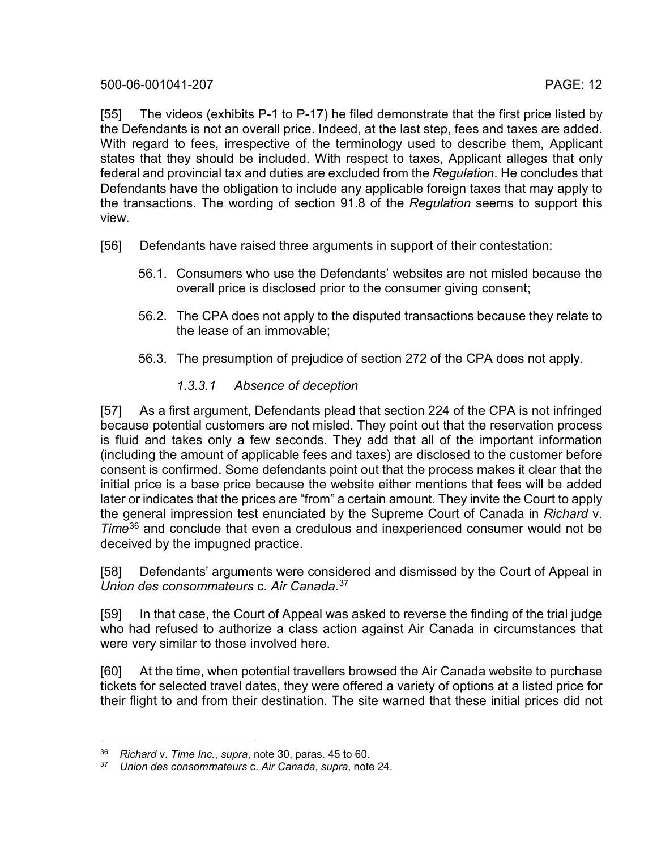[55] The videos (exhibits P-1 to P-17) he filed demonstrate that the first price listed by the Defendants is not an overall price. Indeed, at the last step, fees and taxes are added. With regard to fees, irrespective of the terminology used to describe them. Applicant states that they should be included. With respect to taxes, Applicant alleges that only federal and provincial tax and duties are excluded from the *Regulation*. He concludes that Defendants have the obligation to include any applicable foreign taxes that may apply to the transactions. The wording of section 91.8 of the *Regulation* seems to support this view.

- [56] Defendants have raised three arguments in support of their contestation:
	- 56.1. Consumers who use the Defendants' websites are not misled because the overall price is disclosed prior to the consumer giving consent;
	- 56.2. The CPA does not apply to the disputed transactions because they relate to the lease of an immovable;
	- 56.3. The presumption of prejudice of section 272 of the CPA does not apply.

# *1.3.3.1 Absence of deception*

[57] As a first argument, Defendants plead that section 224 of the CPA is not infringed because potential customers are not misled. They point out that the reservation process is fluid and takes only a few seconds. They add that all of the important information (including the amount of applicable fees and taxes) are disclosed to the customer before consent is confirmed. Some defendants point out that the process makes it clear that the initial price is a base price because the website either mentions that fees will be added later or indicates that the prices are "from" a certain amount. They invite the Court to apply the general impression test enunciated by the Supreme Court of Canada in *Richard* v. *Time*[36](#page-11-0) and conclude that even a credulous and inexperienced consumer would not be deceived by the impugned practice.

[58] Defendants' arguments were considered and dismissed by the Court of Appeal in *Union des consommateurs* c. *Air Canada*. [37](#page-11-1)

[59] In that case, the Court of Appeal was asked to reverse the finding of the trial judge who had refused to authorize a class action against Air Canada in circumstances that were very similar to those involved here.

[60] At the time, when potential travellers browsed the Air Canada website to purchase tickets for selected travel dates, they were offered a variety of options at a listed price for their flight to and from their destination. The site warned that these initial prices did not

<span id="page-11-1"></span><span id="page-11-0"></span> <sup>36</sup> *Richard* v. *Time Inc.*, *supra*, note [30,](#page-9-4) paras. 45 to 60.

<sup>37</sup> *Union des consommateurs* c. *Air Canada*, *supra*, note [24.](#page-5-9)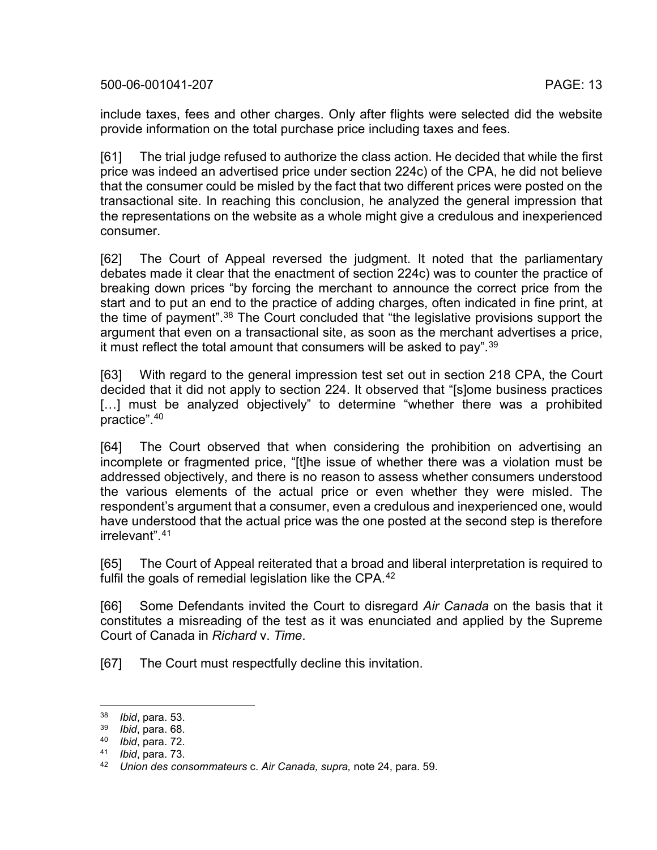include taxes, fees and other charges. Only after flights were selected did the website provide information on the total purchase price including taxes and fees.

[61] The trial judge refused to authorize the class action. He decided that while the first price was indeed an advertised price under section 224c) of the CPA, he did not believe that the consumer could be misled by the fact that two different prices were posted on the transactional site. In reaching this conclusion, he analyzed the general impression that the representations on the website as a whole might give a credulous and inexperienced consumer.

[62] The Court of Appeal reversed the judgment. It noted that the parliamentary debates made it clear that the enactment of section 224c) was to counter the practice of breaking down prices "by forcing the merchant to announce the correct price from the start and to put an end to the practice of adding charges, often indicated in fine print, at the time of payment".<sup>[38](#page-12-0)</sup> The Court concluded that "the legislative provisions support the argument that even on a transactional site, as soon as the merchant advertises a price, it must reflect the total amount that consumers will be asked to pay".<sup>[39](#page-12-1)</sup>

[63] With regard to the general impression test set out in section 218 CPA, the Court decided that it did not apply to section 224. It observed that "[s]ome business practices [...] must be analyzed objectively" to determine "whether there was a prohibited practice". [40](#page-12-2)

[64] The Court observed that when considering the prohibition on advertising an incomplete or fragmented price, "[t]he issue of whether there was a violation must be addressed objectively, and there is no reason to assess whether consumers understood the various elements of the actual price or even whether they were misled. The respondent's argument that a consumer, even a credulous and inexperienced one, would have understood that the actual price was the one posted at the second step is therefore irrelevant".[41](#page-12-3)

[65] The Court of Appeal reiterated that a broad and liberal interpretation is required to fulfil the goals of remedial legislation like the CPA.<sup>[42](#page-12-4)</sup>

[66] Some Defendants invited the Court to disregard *Air Canada* on the basis that it constitutes a misreading of the test as it was enunciated and applied by the Supreme Court of Canada in *Richard* v. *Time*.

[67] The Court must respectfully decline this invitation.

<span id="page-12-0"></span> <sup>38</sup> *Ibid*, para. 53.

<sup>39</sup> *Ibid*, para. 68.

<span id="page-12-2"></span><span id="page-12-1"></span><sup>40</sup> *Ibid*, para. 72.

<span id="page-12-3"></span><sup>41</sup> *Ibid*, para. 73.

<span id="page-12-4"></span><sup>42</sup> *Union des consommateurs* c. *Air Canada, supra,* note [24,](#page-5-9) para. 59.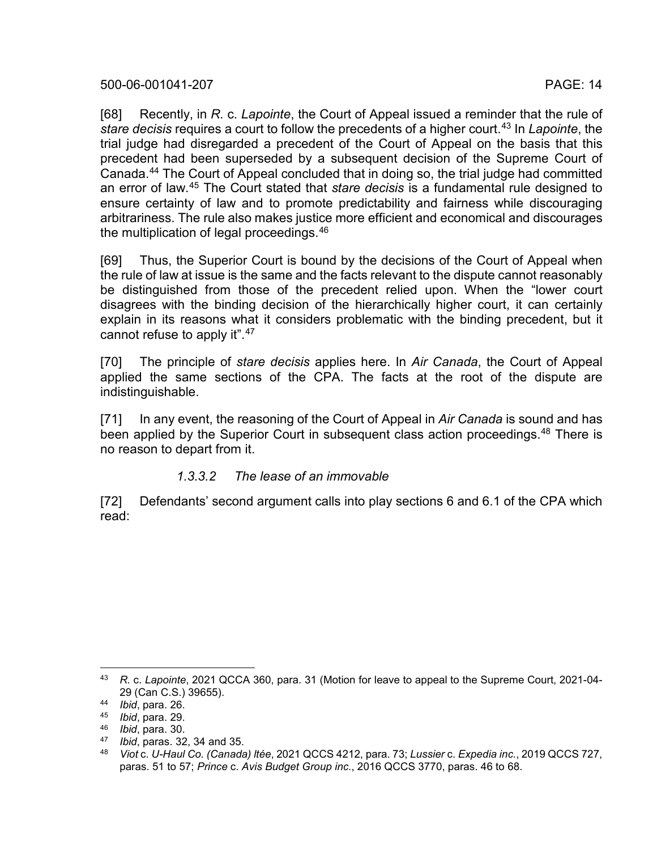[68] Recently, in *R.* c. *Lapointe*, the Court of Appeal issued a reminder that the rule of *stare decisis* requires a court to follow the precedents of a higher court. [43](#page-13-0) In *Lapointe*, the trial judge had disregarded a precedent of the Court of Appeal on the basis that this precedent had been superseded by a subsequent decision of the Supreme Court of Canada[.44](#page-13-1) The Court of Appeal concluded that in doing so, the trial judge had committed an error of law.[45](#page-13-2) The Court stated that *stare decisis* is a fundamental rule designed to ensure certainty of law and to promote predictability and fairness while discouraging arbitrariness. The rule also makes justice more efficient and economical and discourages the multiplication of legal proceedings. [46](#page-13-3)

[69] Thus, the Superior Court is bound by the decisions of the Court of Appeal when the rule of law at issue is the same and the facts relevant to the dispute cannot reasonably be distinguished from those of the precedent relied upon. When the "lower court disagrees with the binding decision of the hierarchically higher court, it can certainly explain in its reasons what it considers problematic with the binding precedent, but it cannot refuse to apply it".<sup>[47](#page-13-4)</sup>

[70] The principle of *stare decisis* applies here. In *Air Canada*, the Court of Appeal applied the same sections of the CPA. The facts at the root of the dispute are indistinguishable.

[71] In any event, the reasoning of the Court of Appeal in *Air Canada* is sound and has been applied by the Superior Court in subsequent class action proceedings. [48](#page-13-5) There is no reason to depart from it.

#### <span id="page-13-6"></span>*1.3.3.2 The lease of an immovable*

[72] Defendants' second argument calls into play sections 6 and 6.1 of the CPA which read:

<span id="page-13-0"></span> <sup>43</sup> *R.* c. *Lapointe*, 2021 QCCA 360, para. 31 (Motion for leave to appeal to the Supreme Court, 2021-04- 29 (Can C.S.) 39655).

<sup>44</sup> *Ibid*, para. 26.

<span id="page-13-2"></span><span id="page-13-1"></span><sup>45</sup> *Ibid*, para. 29.

<span id="page-13-3"></span><sup>46</sup> *Ibid*, para. 30.

<span id="page-13-5"></span><span id="page-13-4"></span><sup>&</sup>lt;sup>47</sup> *Ibid*, paras. 32, 34 and 35.<br><sup>48</sup> *Viot c. U-Haul Co. (Canada* 

<sup>48</sup> *Viot* c. *U-Haul Co. (Canada) ltée*, 2021 QCCS 4212, para. 73; *Lussier* c. *Expedia inc.*, 2019 QCCS 727, paras. 51 to 57; *Prince* c. *Avis Budget Group inc.*, 2016 QCCS 3770, paras. 46 to 68.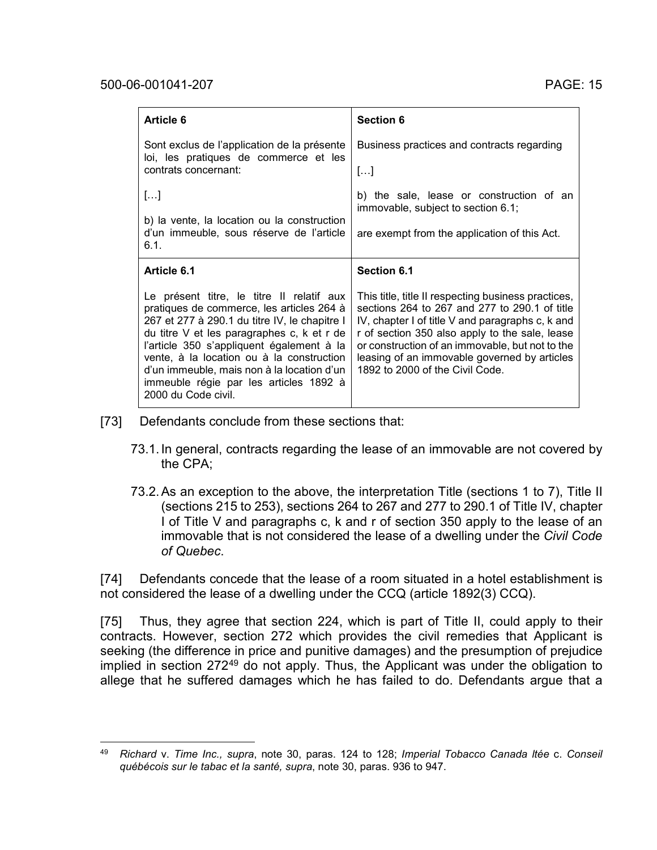| Article 6                                                                                       | <b>Section 6</b>                                                               |
|-------------------------------------------------------------------------------------------------|--------------------------------------------------------------------------------|
| Sont exclus de l'application de la présente<br>loi, les pratiques de commerce et les            | Business practices and contracts regarding                                     |
| contrats concernant:                                                                            | $\left[\ldots\right]$                                                          |
| []                                                                                              | b) the sale, lease or construction of an<br>immovable, subject to section 6.1; |
| b) la vente, la location ou la construction<br>d'un immeuble, sous réserve de l'article<br>6.1. | are exempt from the application of this Act.                                   |
|                                                                                                 |                                                                                |
| Article 6.1                                                                                     | Section 6.1                                                                    |

- [73] Defendants conclude from these sections that:
	- 73.1.In general, contracts regarding the lease of an immovable are not covered by the CPA;
	- 73.2.As an exception to the above, the interpretation Title (sections 1 to 7), Title II (sections 215 to 253), sections 264 to 267 and 277 to 290.1 of Title IV, chapter I of Title V and paragraphs c, k and r of section 350 apply to the lease of an immovable that is not considered the lease of a dwelling under the *Civil Code of Quebec*.

[74] Defendants concede that the lease of a room situated in a hotel establishment is not considered the lease of a dwelling under the CCQ (article 1892(3) CCQ).

[75] Thus, they agree that section 224, which is part of Title II, could apply to their contracts. However, section 272 which provides the civil remedies that Applicant is seeking (the difference in price and punitive damages) and the presumption of prejudice implied in section 272<sup>49</sup> do not apply. Thus, the Applicant was under the obligation to allege that he suffered damages which he has failed to do. Defendants argue that a

<span id="page-14-0"></span> <sup>49</sup> *Richard* v. *Time Inc., supra*, note [30,](#page-9-4) paras. 124 to 128; *Imperial Tobacco Canada ltée* c. *Conseil québécois sur le tabac et la santé, supra*, note [30,](#page-9-4) paras. 936 to 947.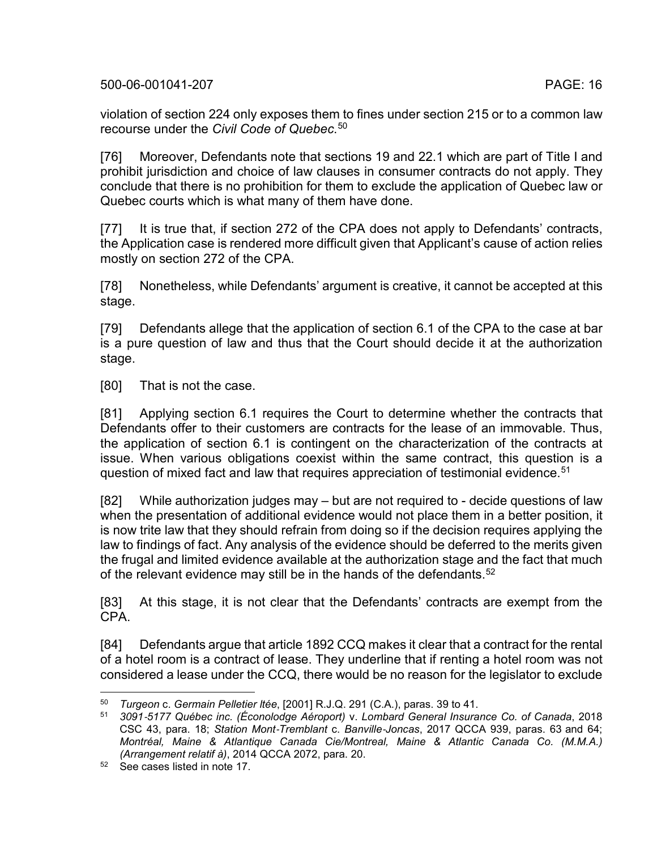violation of section 224 only exposes them to fines under section 215 or to a common law recourse under the *Civil Code of Quebec*. [50](#page-15-0)

[76] Moreover, Defendants note that sections 19 and 22.1 which are part of Title I and prohibit jurisdiction and choice of law clauses in consumer contracts do not apply. They conclude that there is no prohibition for them to exclude the application of Quebec law or Quebec courts which is what many of them have done.

[77] It is true that, if section 272 of the CPA does not apply to Defendants' contracts, the Application case is rendered more difficult given that Applicant's cause of action relies mostly on section 272 of the CPA.

[78] Nonetheless, while Defendants' argument is creative, it cannot be accepted at this stage.

[79] Defendants allege that the application of section 6.1 of the CPA to the case at bar is a pure question of law and thus that the Court should decide it at the authorization stage.

[80] That is not the case.

[81] Applying section 6.1 requires the Court to determine whether the contracts that Defendants offer to their customers are contracts for the lease of an immovable. Thus, the application of section 6.1 is contingent on the characterization of the contracts at issue. When various obligations coexist within the same contract, this question is a question of mixed fact and law that requires appreciation of testimonial evidence.<sup>[51](#page-15-1)</sup>

<span id="page-15-3"></span>[82] While authorization judges may – but are not required to - decide questions of law when the presentation of additional evidence would not place them in a better position, it is now trite law that they should refrain from doing so if the decision requires applying the law to findings of fact. Any analysis of the evidence should be deferred to the merits given the frugal and limited evidence available at the authorization stage and the fact that much of the relevant evidence may still be in the hands of the defendants.<sup>[52](#page-15-2)</sup>

[83] At this stage, it is not clear that the Defendants' contracts are exempt from the CPA.

[84] Defendants argue that article 1892 CCQ makes it clear that a contract for the rental of a hotel room is a contract of lease. They underline that if renting a hotel room was not considered a lease under the CCQ, there would be no reason for the legislator to exclude

<span id="page-15-1"></span><span id="page-15-0"></span> <sup>50</sup> *Turgeon* c. *Germain Pelletier ltée*, [2001] R.J.Q. 291 (C.A.), paras. 39 to 41.

<sup>51</sup> *3091*‑*5177 Québec inc. (Éconolodge Aéroport)* v. *Lombard General Insurance Co. of Canada*, 2018 CSC 43, para. 18; *Station Mont*‑*Tremblant* c. *Banville*‑*Joncas*, 2017 QCCA 939, paras. 63 and 64; *Montréal, Maine & Atlantique Canada Cie/Montreal, Maine & Atlantic Canada Co. (M.M.A.) (Arrangement relatif à)*, 2014 QCCA 2072, para. 20.

<span id="page-15-2"></span><sup>52</sup> See cases listed in note [17.](#page-4-6)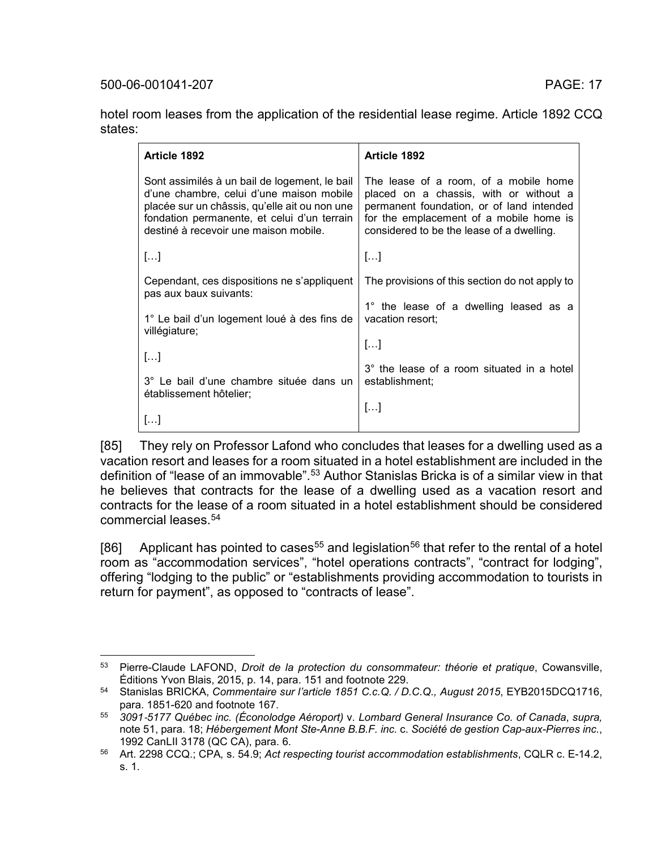hotel room leases from the application of the residential lease regime. Article 1892 CCQ states:

| Article 1892                                                                                                                                                                                                                       | Article 1892                                                                                                                                                                                                         |
|------------------------------------------------------------------------------------------------------------------------------------------------------------------------------------------------------------------------------------|----------------------------------------------------------------------------------------------------------------------------------------------------------------------------------------------------------------------|
| Sont assimilés à un bail de logement, le bail<br>d'une chambre, celui d'une maison mobile<br>placée sur un châssis, qu'elle ait ou non une<br>fondation permanente, et celui d'un terrain<br>destiné à recevoir une maison mobile. | The lease of a room, of a mobile home<br>placed on a chassis, with or without a<br>permanent foundation, or of land intended<br>for the emplacement of a mobile home is<br>considered to be the lease of a dwelling. |
| $[]$                                                                                                                                                                                                                               | []                                                                                                                                                                                                                   |
| Cependant, ces dispositions ne s'appliquent<br>pas aux baux suivants:                                                                                                                                                              | The provisions of this section do not apply to                                                                                                                                                                       |
| 1° Le bail d'un logement loué à des fins de<br>villégiature;                                                                                                                                                                       | 1° the lease of a dwelling leased as a<br>vacation resort:                                                                                                                                                           |
| $[]$                                                                                                                                                                                                                               | []                                                                                                                                                                                                                   |
| 3° Le bail d'une chambre située dans un<br>établissement hôtelier;                                                                                                                                                                 | 3° the lease of a room situated in a hotel<br>establishment;                                                                                                                                                         |
| $[\ldots]$                                                                                                                                                                                                                         | []                                                                                                                                                                                                                   |

[85] They rely on Professor Lafond who concludes that leases for a dwelling used as a vacation resort and leases for a room situated in a hotel establishment are included in the definition of "lease of an immovable".<sup>[53](#page-16-0)</sup> Author Stanislas Bricka is of a similar view in that he believes that contracts for the lease of a dwelling used as a vacation resort and contracts for the lease of a room situated in a hotel establishment should be considered commercial leases  $54$ 

[86] Applicant has pointed to cases<sup>[55](#page-16-2)</sup> and legislation<sup>[56](#page-16-3)</sup> that refer to the rental of a hotel room as "accommodation services", "hotel operations contracts", "contract for lodging", offering "lodging to the public" or "establishments providing accommodation to tourists in return for payment", as opposed to "contracts of lease".

<span id="page-16-0"></span> <sup>53</sup> Pierre-Claude LAFOND, *Droit de la protection du consommateur: théorie et pratique*, Cowansville, Éditions Yvon Blais, 2015, p. 14, para. 151 and footnote 229.

<span id="page-16-1"></span><sup>54</sup> Stanislas BRICKA, *Commentaire sur l'article 1851 C.c.Q. / D.C.Q., August 2015*, EYB2015DCQ1716, para. 1851-620 and footnote 167.

<span id="page-16-2"></span><sup>55</sup> *3091*‑*5177 Québec inc. (Éconolodge Aéroport)* v. *Lombard General Insurance Co. of Canada*, *supra,* note [51,](#page-15-3) para. 18; *Hébergement Mont Ste-Anne B.B.F. inc.* c. *Société de gestion Cap-aux-Pierres inc.*, 1992 CanLII 3178 (QC CA), para. 6.

<span id="page-16-3"></span><sup>56</sup> Art. 2298 CCQ.; CPA*,* s. 54.9; *Act respecting tourist accommodation establishments*, CQLR c. E-14.2, s. 1.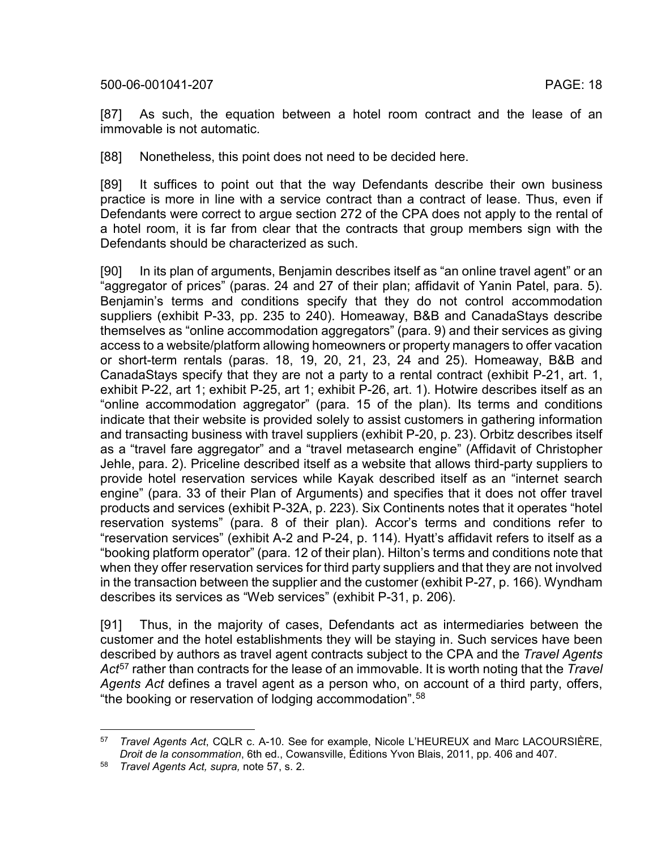[87] As such, the equation between a hotel room contract and the lease of an immovable is not automatic.

[88] Nonetheless, this point does not need to be decided here.

[89] It suffices to point out that the way Defendants describe their own business practice is more in line with a service contract than a contract of lease. Thus, even if Defendants were correct to argue section 272 of the CPA does not apply to the rental of a hotel room, it is far from clear that the contracts that group members sign with the Defendants should be characterized as such.

[90] In its plan of arguments, Benjamin describes itself as "an online travel agent" or an "aggregator of prices" (paras. 24 and 27 of their plan; affidavit of Yanin Patel, para. 5). Benjamin's terms and conditions specify that they do not control accommodation suppliers (exhibit P-33, pp. 235 to 240). Homeaway, B&B and CanadaStays describe themselves as "online accommodation aggregators" (para. 9) and their services as giving access to a website/platform allowing homeowners or property managers to offer vacation or short-term rentals (paras. 18, 19, 20, 21, 23, 24 and 25). Homeaway, B&B and CanadaStays specify that they are not a party to a rental contract (exhibit P-21, art. 1, exhibit P-22, art 1; exhibit P-25, art 1; exhibit P-26, art. 1). Hotwire describes itself as an "online accommodation aggregator" (para. 15 of the plan). Its terms and conditions indicate that their website is provided solely to assist customers in gathering information and transacting business with travel suppliers (exhibit P-20, p. 23). Orbitz describes itself as a "travel fare aggregator" and a "travel metasearch engine" (Affidavit of Christopher Jehle, para. 2). Priceline described itself as a website that allows third-party suppliers to provide hotel reservation services while Kayak described itself as an "internet search engine" (para. 33 of their Plan of Arguments) and specifies that it does not offer travel products and services (exhibit P-32A, p. 223). Six Continents notes that it operates "hotel reservation systems" (para. 8 of their plan). Accor's terms and conditions refer to "reservation services" (exhibit A-2 and P-24, p. 114). Hyatt's affidavit refers to itself as a "booking platform operator" (para. 12 of their plan). Hilton's terms and conditions note that when they offer reservation services for third party suppliers and that they are not involved in the transaction between the supplier and the customer (exhibit P-27, p. 166). Wyndham describes its services as "Web services" (exhibit P-31, p. 206).

<span id="page-17-0"></span>[91] Thus, in the majority of cases, Defendants act as intermediaries between the customer and the hotel establishments they will be staying in. Such services have been described by authors as travel agent contracts subject to the CPA and the *Travel Agents Act*[57](#page-17-1) rather than contracts for the lease of an immovable. It is worth noting that the *Travel Agents Act* defines a travel agent as a person who, on account of a third party, offers, "the booking or reservation of lodging accommodation".[58](#page-17-2)

<span id="page-17-1"></span> <sup>57</sup> *Travel Agents Act*, CQLR c. A-10. See for example, Nicole L'HEUREUX and Marc LACOURSIÈRE, *Droit de la consommation*, 6th ed., Cowansville, Éditions Yvon Blais, 2011, pp. 406 and 407.

<span id="page-17-2"></span><sup>58</sup> *Travel Agents Act, supra,* note [57,](#page-17-0) s. 2.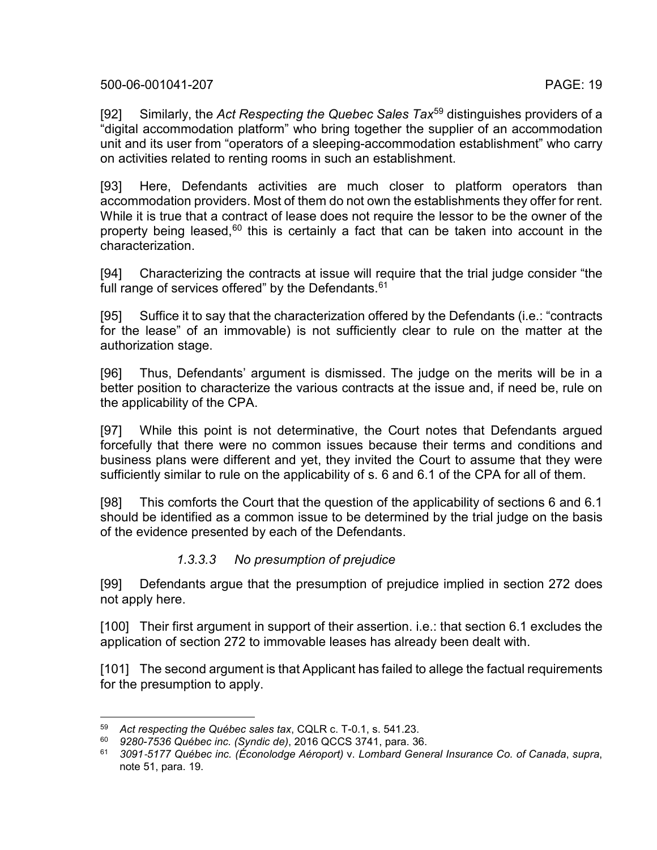[92] Similarly, the *Act Respecting the Quebec Sales Tax*[59](#page-18-0) distinguishes providers of a "digital accommodation platform" who bring together the supplier of an accommodation unit and its user from "operators of a sleeping-accommodation establishment" who carry on activities related to renting rooms in such an establishment.

[93] Here, Defendants activities are much closer to platform operators than accommodation providers. Most of them do not own the establishments they offer for rent. While it is true that a contract of lease does not require the lessor to be the owner of the property being leased, $60$  this is certainly a fact that can be taken into account in the characterization.

[94] Characterizing the contracts at issue will require that the trial judge consider "the full range of services offered" by the Defendants.<sup>[61](#page-18-2)</sup>

[95] Suffice it to say that the characterization offered by the Defendants (i.e.: "contracts for the lease" of an immovable) is not sufficiently clear to rule on the matter at the authorization stage.

[96] Thus, Defendants' argument is dismissed. The judge on the merits will be in a better position to characterize the various contracts at the issue and, if need be, rule on the applicability of the CPA.

[97] While this point is not determinative, the Court notes that Defendants argued forcefully that there were no common issues because their terms and conditions and business plans were different and yet, they invited the Court to assume that they were sufficiently similar to rule on the applicability of s. 6 and 6.1 of the CPA for all of them.

[98] This comforts the Court that the question of the applicability of sections 6 and 6.1 should be identified as a common issue to be determined by the trial judge on the basis of the evidence presented by each of the Defendants.

#### *1.3.3.3 No presumption of prejudice*

[99] Defendants argue that the presumption of prejudice implied in section 272 does not apply here.

[100] Their first argument in support of their assertion. i.e.: that section 6.1 excludes the application of section 272 to immovable leases has already been dealt with.

[101] The second argument is that Applicant has failed to allege the factual requirements for the presumption to apply.

<span id="page-18-1"></span><span id="page-18-0"></span> <sup>59</sup> *Act respecting the Québec sales tax*, CQLR c. T-0.1, s. 541.23.

<sup>60</sup> *9280-7536 Québec inc. (Syndic de)*, 2016 QCCS 3741, para. 36.

<span id="page-18-2"></span><sup>61</sup> *3091*‑*5177 Québec inc. (Éconolodge Aéroport)* v. *Lombard General Insurance Co. of Canada*, *supra*, note [51,](#page-15-3) para. 19.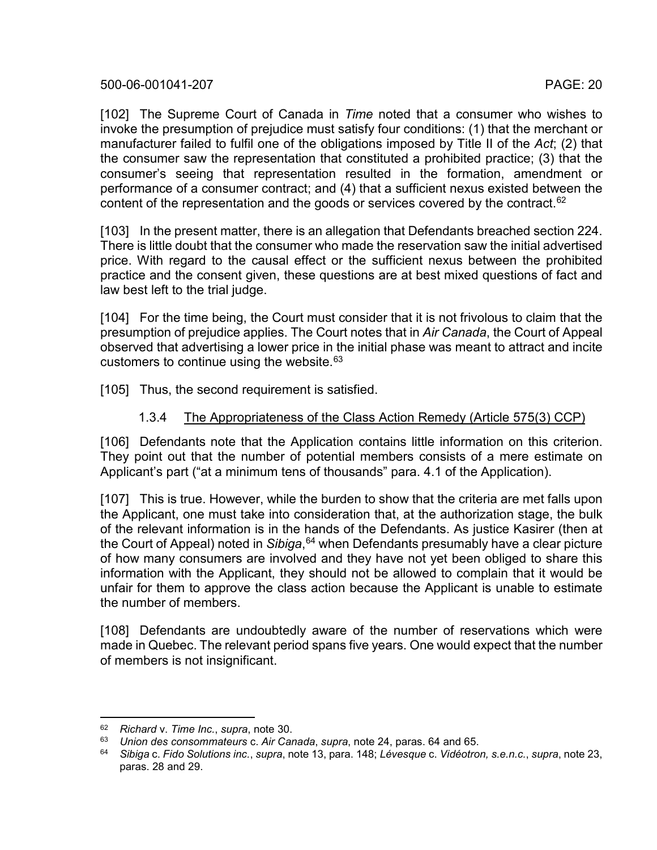[102] The Supreme Court of Canada in *Time* noted that a consumer who wishes to invoke the presumption of prejudice must satisfy four conditions: (1) that the merchant or manufacturer failed to fulfil one of the obligations imposed by Title II of the *Act*; (2) that the consumer saw the representation that constituted a prohibited practice; (3) that the consumer's seeing that representation resulted in the formation, amendment or performance of a consumer contract; and (4) that a sufficient nexus existed between the content of the representation and the goods or services covered by the contract.<sup>[62](#page-19-0)</sup>

[103] In the present matter, there is an allegation that Defendants breached section 224. There is little doubt that the consumer who made the reservation saw the initial advertised price. With regard to the causal effect or the sufficient nexus between the prohibited practice and the consent given, these questions are at best mixed questions of fact and law best left to the trial judge.

[104] For the time being, the Court must consider that it is not frivolous to claim that the presumption of prejudice applies. The Court notes that in *Air Canada*, the Court of Appeal observed that advertising a lower price in the initial phase was meant to attract and incite customers to continue using the website.<sup>[63](#page-19-1)</sup>

[105] Thus, the second requirement is satisfied.

#### 1.3.4 The Appropriateness of the Class Action Remedy (Article 575(3) CCP)

[106] Defendants note that the Application contains little information on this criterion. They point out that the number of potential members consists of a mere estimate on Applicant's part ("at a minimum tens of thousands" para. 4.1 of the Application).

[107] This is true. However, while the burden to show that the criteria are met falls upon the Applicant, one must take into consideration that, at the authorization stage, the bulk of the relevant information is in the hands of the Defendants. As justice Kasirer (then at the Court of Appeal) noted in *Sibiga*, [64](#page-19-2) when Defendants presumably have a clear picture of how many consumers are involved and they have not yet been obliged to share this information with the Applicant, they should not be allowed to complain that it would be unfair for them to approve the class action because the Applicant is unable to estimate the number of members.

[108] Defendants are undoubtedly aware of the number of reservations which were made in Quebec. The relevant period spans five years. One would expect that the number of members is not insignificant.

<span id="page-19-0"></span> <sup>62</sup> *Richard* v. *Time Inc.*, *supra*, note [30.](#page-9-4)

<span id="page-19-1"></span><sup>63</sup> *Union des consommateurs* c. *Air Canada*, *supra*, note [24,](#page-5-9) paras. 64 and 65.

<span id="page-19-2"></span><sup>64</sup> *Sibiga* c. *Fido Solutions inc.*, *supra*, not[e 13,](#page-4-0) para. 148; *Lévesque* c. *Vidéotron, s.e.n.c.*, *supra*, note [23,](#page-5-8) paras. 28 and 29.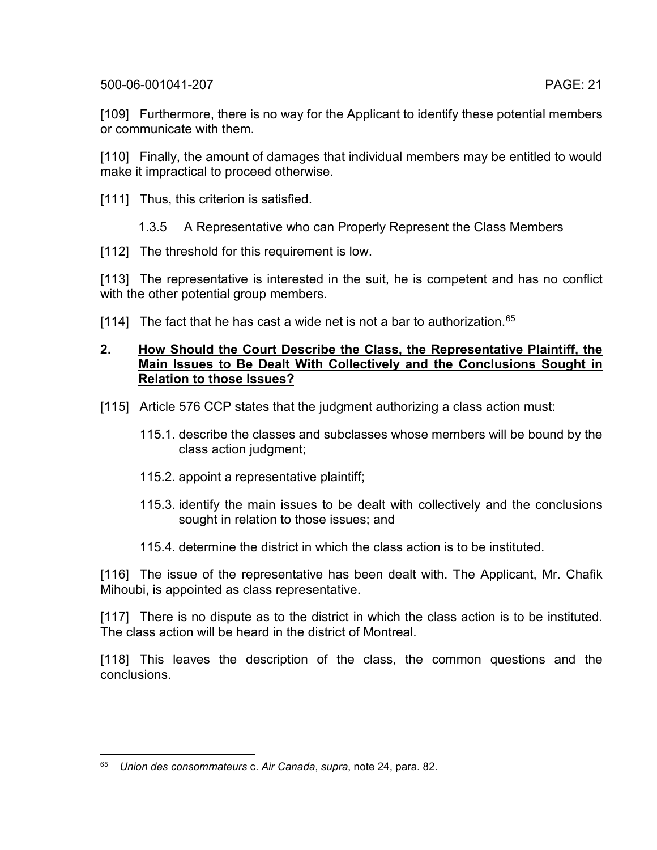[109] Furthermore, there is no way for the Applicant to identify these potential members or communicate with them.

[110] Finally, the amount of damages that individual members may be entitled to would make it impractical to proceed otherwise.

[111] Thus, this criterion is satisfied.

# 1.3.5 A Representative who can Properly Represent the Class Members

[112] The threshold for this requirement is low.

[113] The representative is interested in the suit, he is competent and has no conflict with the other potential group members.

[114] The fact that he has cast a wide net is not a bar to authorization.  $65$ 

### **2. How Should the Court Describe the Class, the Representative Plaintiff, the Main Issues to Be Dealt With Collectively and the Conclusions Sought in Relation to those Issues?**

- [115] Article 576 CCP states that the judgment authorizing a class action must:
	- 115.1. describe the classes and subclasses whose members will be bound by the class action judgment;
	- 115.2. appoint a representative plaintiff;
	- 115.3. identify the main issues to be dealt with collectively and the conclusions sought in relation to those issues; and
	- 115.4. determine the district in which the class action is to be instituted.

[116] The issue of the representative has been dealt with. The Applicant, Mr. Chafik Mihoubi, is appointed as class representative.

[117] There is no dispute as to the district in which the class action is to be instituted. The class action will be heard in the district of Montreal.

[118] This leaves the description of the class, the common questions and the conclusions.

<span id="page-20-0"></span> <sup>65</sup> *Union des consommateurs* c. *Air Canada*, *supra*, note [24,](#page-5-9) para. 82.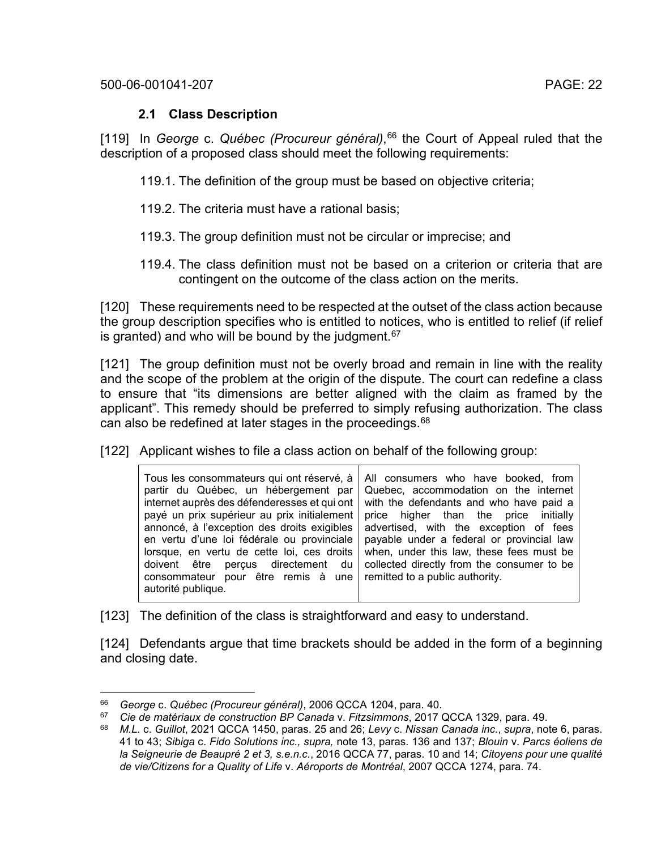## **2.1 Class Description**

[119] In *George* c. *Québec (Procureur général)*, [66](#page-21-0) the Court of Appeal ruled that the description of a proposed class should meet the following requirements:

119.1. The definition of the group must be based on objective criteria;

- 119.2. The criteria must have a rational basis;
- 119.3. The group definition must not be circular or imprecise; and
- 119.4. The class definition must not be based on a criterion or criteria that are contingent on the outcome of the class action on the merits.

[120] These requirements need to be respected at the outset of the class action because the group description specifies who is entitled to notices, who is entitled to relief (if relief is granted) and who will be bound by the judgment. $67$ 

[121] The group definition must not be overly broad and remain in line with the reality and the scope of the problem at the origin of the dispute. The court can redefine a class to ensure that "its dimensions are better aligned with the claim as framed by the applicant". This remedy should be preferred to simply refusing authorization. The class can also be redefined at later stages in the proceedings.<sup>[68](#page-21-2)</sup>

[122] Applicant wishes to file a class action on behalf of the following group:

[123] The definition of the class is straightforward and easy to understand.

[124] Defendants argue that time brackets should be added in the form of a beginning and closing date.

<span id="page-21-0"></span> <sup>66</sup> *George* c. *Québec (Procureur général)*, 2006 QCCA 1204, para. 40.

<span id="page-21-1"></span><sup>67</sup> *Cie de matériaux de construction BP Canada* v. *Fitzsimmons*, 2017 QCCA 1329, para. 49.

<span id="page-21-2"></span><sup>68</sup> *M.L.* c. *Guillot*, 2021 QCCA 1450, paras. 25 and 26; *Levy* c. *Nissan Canada inc.*, *supra*, note [6,](#page-2-5) paras. 41 to 43; *Sibiga* c. *Fido Solutions inc., supra,* note [13,](#page-4-0) paras. 136 and 137; *Blouin* v. *Parcs éoliens de la Seigneurie de Beaupré 2 et 3, s.e.n.c.*, 2016 QCCA 77, paras. 10 and 14; *Citoyens pour une qualité de vie/Citizens for a Quality of Life* v. *Aéroports de Montréal*, 2007 QCCA 1274, para. 74.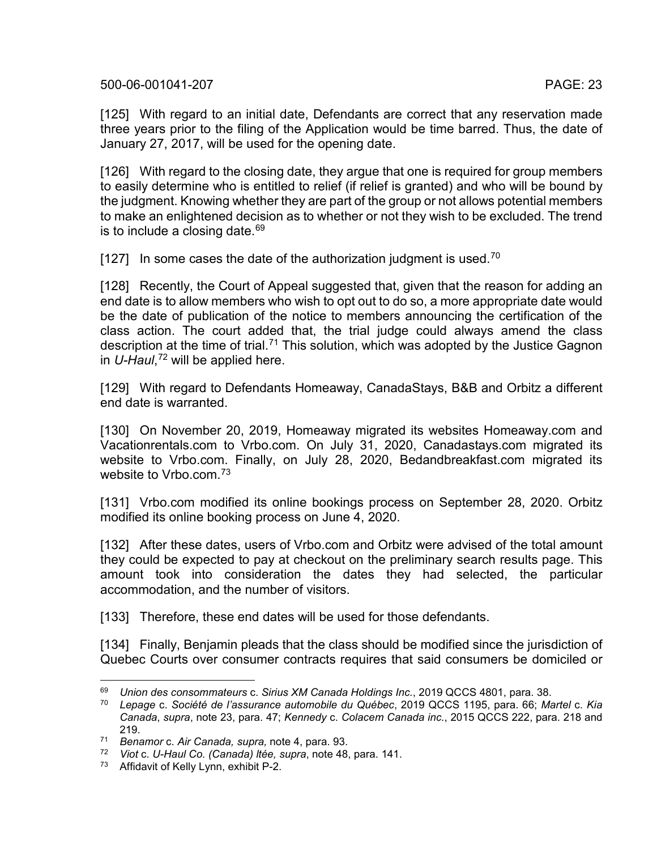[125] With regard to an initial date, Defendants are correct that any reservation made three years prior to the filing of the Application would be time barred. Thus, the date of January 27, 2017, will be used for the opening date.

[126] With regard to the closing date, they argue that one is required for group members to easily determine who is entitled to relief (if relief is granted) and who will be bound by the judgment. Knowing whether they are part of the group or not allows potential members to make an enlightened decision as to whether or not they wish to be excluded. The trend is to include a closing date.  $69$ 

[127] In some cases the date of the authorization judgment is used.<sup>[70](#page-22-1)</sup>

[128] Recently, the Court of Appeal suggested that, given that the reason for adding an end date is to allow members who wish to opt out to do so, a more appropriate date would be the date of publication of the notice to members announcing the certification of the class action. The court added that, the trial judge could always amend the class description at the time of trial.<sup>[71](#page-22-2)</sup> This solution, which was adopted by the Justice Gagnon in *U-Haul*, [72](#page-22-3) will be applied here.

[129] With regard to Defendants Homeaway, CanadaStays, B&B and Orbitz a different end date is warranted.

[130] On November 20, 2019, Homeaway migrated its websites Homeaway.com and Vacationrentals.com to Vrbo.com. On July 31, 2020, Canadastays.com migrated its website to Vrbo.com. Finally, on July 28, 2020, Bedandbreakfast.com migrated its website to Vrbo.com.[73](#page-22-4)

[131] Vrbo.com modified its online bookings process on September 28, 2020. Orbitz modified its online booking process on June 4, 2020.

[132] After these dates, users of Vrbo.com and Orbitz were advised of the total amount they could be expected to pay at checkout on the preliminary search results page. This amount took into consideration the dates they had selected, the particular accommodation, and the number of visitors.

[133] Therefore, these end dates will be used for those defendants.

[134] Finally, Benjamin pleads that the class should be modified since the jurisdiction of Quebec Courts over consumer contracts requires that said consumers be domiciled or

<span id="page-22-1"></span><span id="page-22-0"></span> <sup>69</sup> *Union des consommateurs* c. *Sirius XM Canada Holdings Inc.*, 2019 QCCS 4801, para. 38.

<sup>70</sup> *Lepage* c. *Société de l'assurance automobile du Québec*, 2019 QCCS 1195, para. 66; *Martel* c. *Kia Canada*, *supra*, note [23,](#page-5-8) para. 47; *Kennedy* c. *Colacem Canada inc.*, 2015 QCCS 222, para. 218 and 219.

<span id="page-22-2"></span><sup>71</sup> *Benamor* c. *Air Canada, supra,* note [4,](#page-2-3) para. 93.

<span id="page-22-3"></span><sup>72</sup> *Viot* c. *U-Haul Co. (Canada) ltée, supra*, note [48,](#page-13-6) para. 141.

<span id="page-22-4"></span><sup>73</sup> Affidavit of Kelly Lynn, exhibit P-2.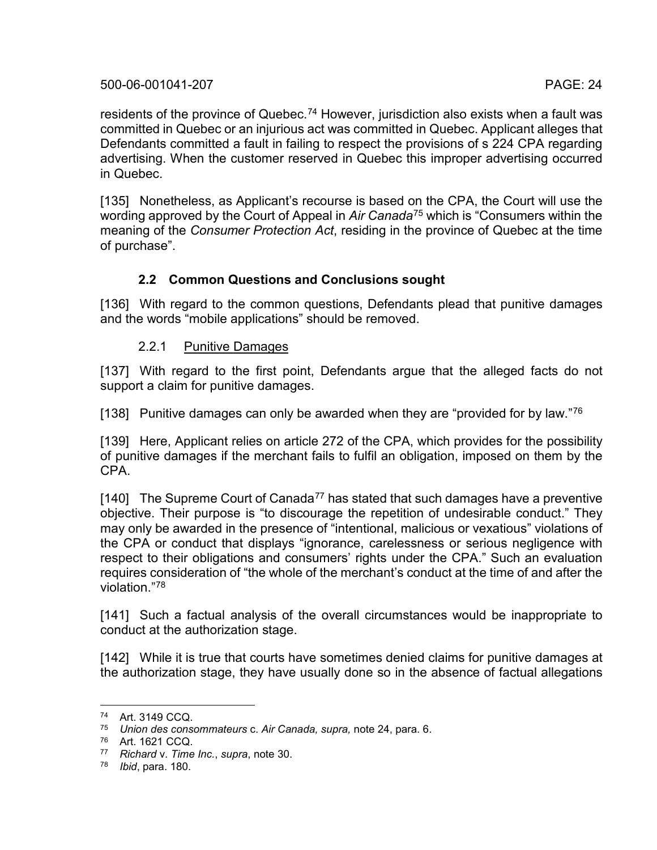residents of the province of Quebec.<sup>[74](#page-23-0)</sup> However, jurisdiction also exists when a fault was committed in Quebec or an injurious act was committed in Quebec. Applicant alleges that Defendants committed a fault in failing to respect the provisions of s 224 CPA regarding advertising. When the customer reserved in Quebec this improper advertising occurred in Quebec.

[135] Nonetheless, as Applicant's recourse is based on the CPA, the Court will use the wording approved by the Court of Appeal in *Air Canada*[75](#page-23-1) which is "Consumers within the meaning of the *Consumer Protection Act*, residing in the province of Quebec at the time of purchase".

#### **2.2 Common Questions and Conclusions sought**

[136] With regard to the common questions, Defendants plead that punitive damages and the words "mobile applications" should be removed.

#### 2.2.1 Punitive Damages

[137] With regard to the first point, Defendants argue that the alleged facts do not support a claim for punitive damages.

[138] Punitive damages can only be awarded when they are "provided for by law."<sup>[76](#page-23-2)</sup>

[139] Here, Applicant relies on article 272 of the CPA, which provides for the possibility of punitive damages if the merchant fails to fulfil an obligation, imposed on them by the CPA.

[140] The Supreme Court of Canada<sup>[77](#page-23-3)</sup> has stated that such damages have a preventive objective. Their purpose is "to discourage the repetition of undesirable conduct." They may only be awarded in the presence of "intentional, malicious or vexatious" violations of the CPA or conduct that displays "ignorance, carelessness or serious negligence with respect to their obligations and consumers' rights under the CPA." Such an evaluation requires consideration of "the whole of the merchant's conduct at the time of and after the violation<sup>"[78](#page-23-4)</sup>

[141] Such a factual analysis of the overall circumstances would be inappropriate to conduct at the authorization stage.

[142] While it is true that courts have sometimes denied claims for punitive damages at the authorization stage, they have usually done so in the absence of factual allegations

<span id="page-23-0"></span> <sup>74</sup> Art. 3149 CCQ.

<span id="page-23-1"></span><sup>75</sup> *Union des consommateurs* c. *Air Canada, supra,* note [24,](#page-5-9) para. 6.

<sup>76</sup> Art. 1621 CCQ.

<span id="page-23-3"></span><span id="page-23-2"></span><sup>77</sup> *Richard* v. *Time Inc.*, *supra*, note [30.](#page-9-4)

<span id="page-23-4"></span><sup>78</sup> *Ibid*, para. 180.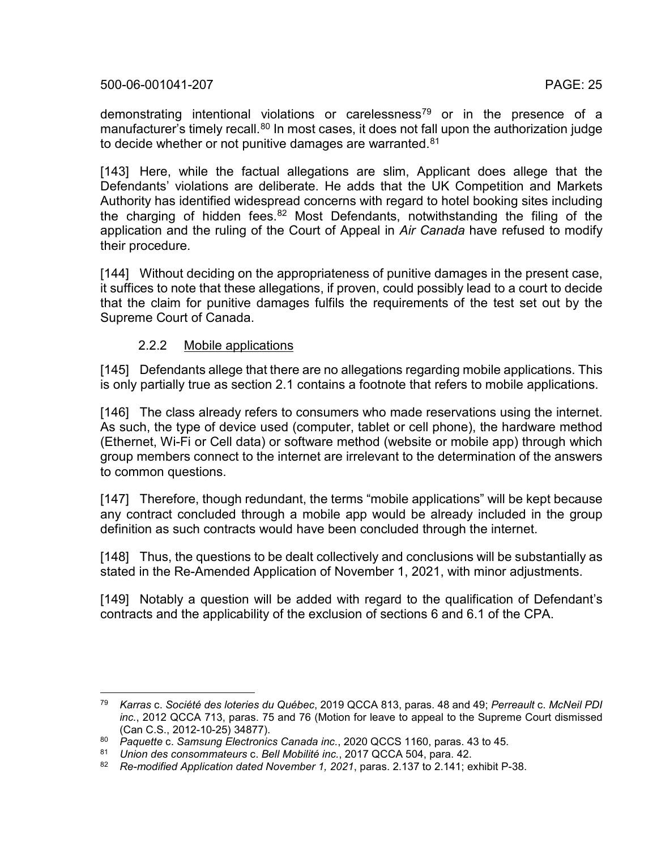demonstrating intentional violations or carelessness<sup>[79](#page-24-0)</sup> or in the presence of a manufacturer's timely recall.<sup>[80](#page-24-1)</sup> In most cases, it does not fall upon the authorization judge to decide whether or not punitive damages are warranted.<sup>[81](#page-24-2)</sup>

[143] Here, while the factual allegations are slim, Applicant does allege that the Defendants' violations are deliberate. He adds that the UK Competition and Markets Authority has identified widespread concerns with regard to hotel booking sites including the charging of hidden fees.<sup>[82](#page-24-3)</sup> Most Defendants, notwithstanding the filing of the application and the ruling of the Court of Appeal in *Air Canada* have refused to modify their procedure.

[144] Without deciding on the appropriateness of punitive damages in the present case, it suffices to note that these allegations, if proven, could possibly lead to a court to decide that the claim for punitive damages fulfils the requirements of the test set out by the Supreme Court of Canada.

#### 2.2.2 Mobile applications

[145] Defendants allege that there are no allegations regarding mobile applications. This is only partially true as section 2.1 contains a footnote that refers to mobile applications.

[146] The class already refers to consumers who made reservations using the internet. As such, the type of device used (computer, tablet or cell phone), the hardware method (Ethernet, Wi-Fi or Cell data) or software method (website or mobile app) through which group members connect to the internet are irrelevant to the determination of the answers to common questions.

[147] Therefore, though redundant, the terms "mobile applications" will be kept because any contract concluded through a mobile app would be already included in the group definition as such contracts would have been concluded through the internet.

[148] Thus, the questions to be dealt collectively and conclusions will be substantially as stated in the Re-Amended Application of November 1, 2021, with minor adjustments.

[149] Notably a question will be added with regard to the qualification of Defendant's contracts and the applicability of the exclusion of sections 6 and 6.1 of the CPA.

<span id="page-24-0"></span> <sup>79</sup> *Karras* c. *Société des loteries du Québec*, 2019 QCCA 813, paras. 48 and 49; *Perreault* c. *McNeil PDI inc.*, 2012 QCCA 713, paras. 75 and 76 (Motion for leave to appeal to the Supreme Court dismissed (Can C.S., 2012-10-25) 34877).

<span id="page-24-1"></span><sup>80</sup> *Paquette* c. *Samsung Electronics Canada inc.*, 2020 QCCS 1160, paras. 43 to 45.

<span id="page-24-3"></span><span id="page-24-2"></span><sup>81</sup> *Union des consommateurs* c. *Bell Mobilité inc.*, 2017 QCCA 504, para. 42.

<sup>82</sup> *Re-modified Application dated November 1, 2021*, paras. 2.137 to 2.141; exhibit P-38.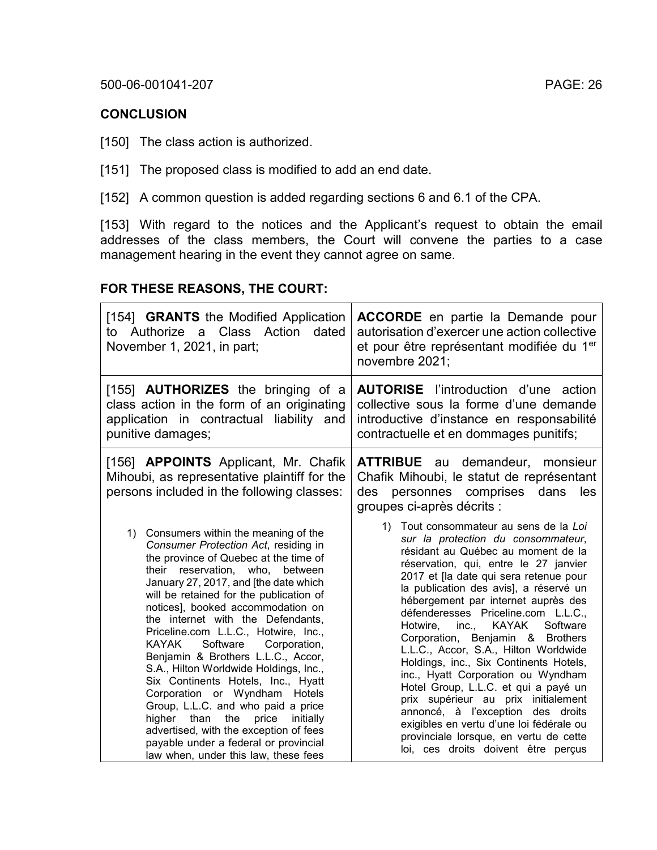#### **CONCLUSION**

[150] The class action is authorized.

[151] The proposed class is modified to add an end date.

[152] A common question is added regarding sections 6 and 6.1 of the CPA.

[153] With regard to the notices and the Applicant's request to obtain the email addresses of the class members, the Court will convene the parties to a case management hearing in the event they cannot agree on same.

# **FOR THESE REASONS, THE COURT:**

| [154] <b>GRANTS</b> the Modified Application<br>to Authorize a Class Action<br>dated<br>November 1, 2021, in part;                                                                                                                                                                                                                                                                                                                                                                                                                                                                                                                                                                                                                                                           | <b>ACCORDE</b> en partie la Demande pour<br>autorisation d'exercer une action collective<br>et pour être représentant modifiée du 1 <sup>er</sup><br>novembre 2021;                                                                                                                                                                                                                                                                                                                                                                                                                                                                                                                                                                                                                             |
|------------------------------------------------------------------------------------------------------------------------------------------------------------------------------------------------------------------------------------------------------------------------------------------------------------------------------------------------------------------------------------------------------------------------------------------------------------------------------------------------------------------------------------------------------------------------------------------------------------------------------------------------------------------------------------------------------------------------------------------------------------------------------|-------------------------------------------------------------------------------------------------------------------------------------------------------------------------------------------------------------------------------------------------------------------------------------------------------------------------------------------------------------------------------------------------------------------------------------------------------------------------------------------------------------------------------------------------------------------------------------------------------------------------------------------------------------------------------------------------------------------------------------------------------------------------------------------------|
| [155] <b>AUTHORIZES</b> the bringing of a<br>class action in the form of an originating<br>application in contractual liability and<br>punitive damages;                                                                                                                                                                                                                                                                                                                                                                                                                                                                                                                                                                                                                     | <b>AUTORISE</b> l'introduction d'une<br>action<br>collective sous la forme d'une demande<br>introductive d'instance en responsabilité<br>contractuelle et en dommages punitifs;                                                                                                                                                                                                                                                                                                                                                                                                                                                                                                                                                                                                                 |
| [156] <b>APPOINTS</b> Applicant, Mr. Chafik<br>Mihoubi, as representative plaintiff for the<br>persons included in the following classes:                                                                                                                                                                                                                                                                                                                                                                                                                                                                                                                                                                                                                                    | <b>ATTRIBUE</b> au<br>demandeur,<br>monsieur<br>Chafik Mihoubi, le statut de représentant<br>personnes comprises<br>des<br>dans<br>les<br>groupes ci-après décrits :                                                                                                                                                                                                                                                                                                                                                                                                                                                                                                                                                                                                                            |
| 1) Consumers within the meaning of the<br>Consumer Protection Act, residing in<br>the province of Quebec at the time of<br>their reservation, who,<br>between<br>January 27, 2017, and [the date which<br>will be retained for the publication of<br>notices], booked accommodation on<br>the internet with the Defendants,<br>Priceline.com L.L.C., Hotwire, Inc.,<br>Software<br>KAYAK<br>Corporation,<br>Benjamin & Brothers L.L.C., Accor,<br>S.A., Hilton Worldwide Holdings, Inc.,<br>Six Continents Hotels, Inc., Hyatt<br>Corporation or Wyndham Hotels<br>Group, L.L.C. and who paid a price<br>the<br>higher than<br>price<br>initially<br>advertised, with the exception of fees<br>payable under a federal or provincial<br>law when, under this law, these fees | Tout consommateur au sens de la Loi<br>1)<br>sur la protection du consommateur,<br>résidant au Québec au moment de la<br>réservation, qui, entre le 27 janvier<br>2017 et [la date qui sera retenue pour<br>la publication des avis], a réservé un<br>hébergement par internet auprès des<br>défenderesses Priceline.com L.L.C.,<br><b>KAYAK</b><br>Software<br>Hotwire,<br>inc.,<br>Corporation, Benjamin & Brothers<br>L.L.C., Accor, S.A., Hilton Worldwide<br>Holdings, inc., Six Continents Hotels,<br>inc., Hyatt Corporation ou Wyndham<br>Hotel Group, L.L.C. et qui a payé un<br>prix supérieur au prix initialement<br>annoncé, à l'exception des droits<br>exigibles en vertu d'une loi fédérale ou<br>provinciale lorsque, en vertu de cette<br>loi, ces droits doivent être perçus |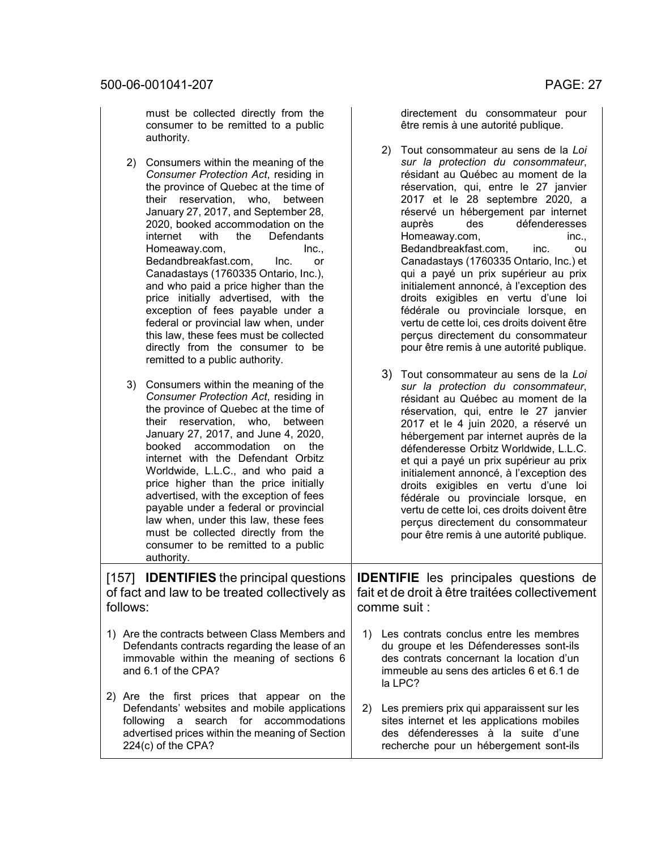must be collected directly from the consumer to be remitted to a public authority.

- 2) Consumers within the meaning of the *Consumer Protection Act*, residing in the province of Quebec at the time of their reservation, who, between January 27, 2017, and September 28, 2020, booked accommodation on the internet with the Defendants Defendants Homeaway.com, Inc., Bedandbreakfast.com, Inc. or Canadastays (1760335 Ontario, Inc.), and who paid a price higher than the price initially advertised, with the exception of fees payable under a federal or provincial law when, under this law, these fees must be collected directly from the consumer to be remitted to a public authority.
- 3) Consumers within the meaning of the *Consumer Protection Act*, residing in the province of Quebec at the time of their reservation, who, between January 27, 2017, and June 4, 2020, booked accommodation on the internet with the Defendant Orbitz Worldwide, L.L.C., and who paid a price higher than the price initially advertised, with the exception of fees payable under a federal or provincial law when, under this law, these fees must be collected directly from the consumer to be remitted to a public authority.

[157] **IDENTIFIES** the principal questions of fact and law to be treated collectively as follows:

- 1) Are the contracts between Class Members and Defendants contracts regarding the lease of an immovable within the meaning of sections 6 and 6.1 of the CPA?
- 2) Are the first prices that appear on the Defendants' websites and mobile applications following a search for accommodations advertised prices within the meaning of Section 224(c) of the CPA?

directement du consommateur pour être remis à une autorité publique.

- 2) Tout consommateur au sens de la *Loi sur la protection du consommateur*, résidant au Québec au moment de la réservation, qui, entre le 27 janvier 2017 et le 28 septembre 2020, a réservé un hébergement par internet<br>auprès des défenderesses défenderesses Homeaway.com, inc., Bedandbreakfast.com, inc. ou Canadastays (1760335 Ontario, Inc.) et qui a payé un prix supérieur au prix initialement annoncé, à l'exception des droits exigibles en vertu d'une loi fédérale ou provinciale lorsque, en vertu de cette loi, ces droits doivent être perçus directement du consommateur pour être remis à une autorité publique.
- 3) Tout consommateur au sens de la *Loi sur la protection du consommateur*, résidant au Québec au moment de la réservation, qui, entre le 27 janvier 2017 et le 4 juin 2020, a réservé un hébergement par internet auprès de la défenderesse Orbitz Worldwide, L.L.C. et qui a payé un prix supérieur au prix initialement annoncé, à l'exception des droits exigibles en vertu d'une loi fédérale ou provinciale lorsque, en vertu de cette loi, ces droits doivent être perçus directement du consommateur pour être remis à une autorité publique.

**IDENTIFIE** les principales questions de fait et de droit à être traitées collectivement comme suit :

- 1) Les contrats conclus entre les membres du groupe et les Défenderesses sont-ils des contrats concernant la location d'un immeuble au sens des articles 6 et 6.1 de la LPC?
- 2) Les premiers prix qui apparaissent sur les sites internet et les applications mobiles des défenderesses à la suite d'une recherche pour un hébergement sont-ils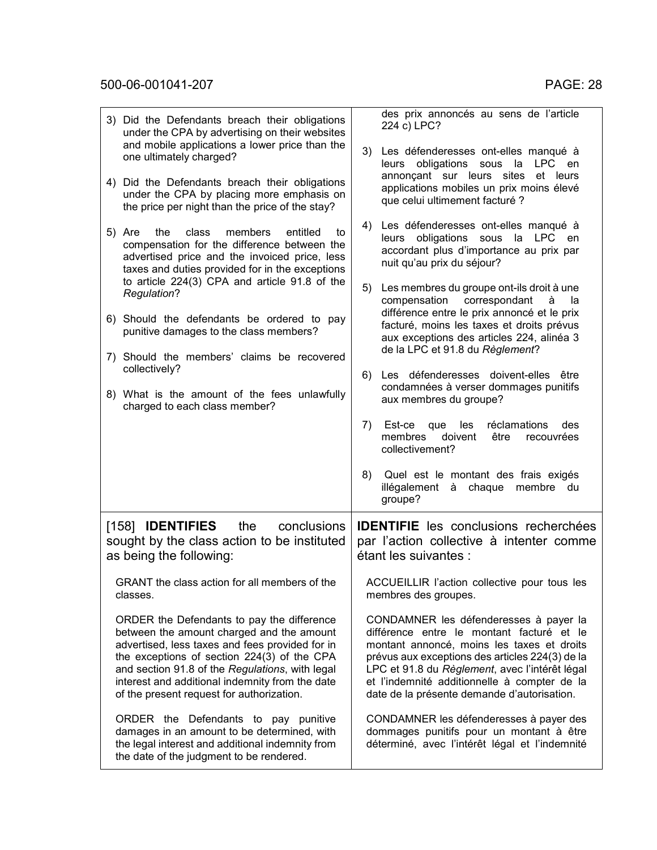|    | 3) Did the Defendants breach their obligations<br>under the CPA by advertising on their websites                                                                                                                                                                                                                                             |    | des prix annoncés au sens de l'article<br>224 c) LPC?                                                                                                                                                                                                                                                                                 |  |
|----|----------------------------------------------------------------------------------------------------------------------------------------------------------------------------------------------------------------------------------------------------------------------------------------------------------------------------------------------|----|---------------------------------------------------------------------------------------------------------------------------------------------------------------------------------------------------------------------------------------------------------------------------------------------------------------------------------------|--|
|    | and mobile applications a lower price than the<br>one ultimately charged?                                                                                                                                                                                                                                                                    |    | 3) Les défenderesses ont-elles manqué à<br>obligations sous la<br>LPC en<br>leurs                                                                                                                                                                                                                                                     |  |
| 4) | Did the Defendants breach their obligations<br>under the CPA by placing more emphasis on<br>the price per night than the price of the stay?                                                                                                                                                                                                  |    | annonçant sur leurs sites et leurs<br>applications mobiles un prix moins élevé<br>que celui ultimement facturé ?                                                                                                                                                                                                                      |  |
|    | 5) Are<br>the<br>class<br>members<br>entitled<br>to<br>compensation for the difference between the<br>advertised price and the invoiced price, less<br>taxes and duties provided for in the exceptions                                                                                                                                       |    | 4) Les défenderesses ont-elles manqué à<br>leurs obligations sous la LPC en<br>accordant plus d'importance au prix par<br>nuit qu'au prix du séjour?                                                                                                                                                                                  |  |
|    | to article 224(3) CPA and article 91.8 of the<br>Regulation?                                                                                                                                                                                                                                                                                 | 5) | Les membres du groupe ont-ils droit à une<br>compensation<br>correspondant<br>à<br>la                                                                                                                                                                                                                                                 |  |
|    | 6) Should the defendants be ordered to pay<br>punitive damages to the class members?                                                                                                                                                                                                                                                         |    | différence entre le prix annoncé et le prix<br>facturé, moins les taxes et droits prévus<br>aux exceptions des articles 224, alinéa 3<br>de la LPC et 91.8 du Règlement?                                                                                                                                                              |  |
|    | 7) Should the members' claims be recovered<br>collectively?                                                                                                                                                                                                                                                                                  |    | 6) Les défenderesses doivent-elles être                                                                                                                                                                                                                                                                                               |  |
|    | 8) What is the amount of the fees unlawfully<br>charged to each class member?                                                                                                                                                                                                                                                                |    | condamnées à verser dommages punitifs<br>aux membres du groupe?                                                                                                                                                                                                                                                                       |  |
|    |                                                                                                                                                                                                                                                                                                                                              | 7) | les<br>Est-ce que<br>réclamations<br>des<br>membres<br>doivent<br>être<br>recouvrées<br>collectivement?                                                                                                                                                                                                                               |  |
|    |                                                                                                                                                                                                                                                                                                                                              | 8) | Quel est le montant des frais exigés<br>illégalement à chaque<br>membre<br>du<br>groupe?                                                                                                                                                                                                                                              |  |
|    | [158] <b>IDENTIFIES</b><br>the<br>conclusions<br>sought by the class action to be instituted<br>as being the following:                                                                                                                                                                                                                      |    | <b>IDENTIFIE</b> les conclusions recherchées<br>par l'action collective à intenter comme<br>étant les suivantes :                                                                                                                                                                                                                     |  |
|    | GRANT the class action for all members of the<br>classes.                                                                                                                                                                                                                                                                                    |    | ACCUEILLIR l'action collective pour tous les<br>membres des groupes.                                                                                                                                                                                                                                                                  |  |
|    | ORDER the Defendants to pay the difference<br>between the amount charged and the amount<br>advertised, less taxes and fees provided for in<br>the exceptions of section 224(3) of the CPA<br>and section 91.8 of the Regulations, with legal<br>interest and additional indemnity from the date<br>of the present request for authorization. |    | CONDAMNER les défenderesses à payer la<br>différence entre le montant facturé et le<br>montant annoncé, moins les taxes et droits<br>prévus aux exceptions des articles 224(3) de la<br>LPC et 91.8 du Règlement, avec l'intérêt légal<br>et l'indemnité additionnelle à compter de la<br>date de la présente demande d'autorisation. |  |
|    | ORDER the Defendants to pay punitive<br>damages in an amount to be determined, with<br>the legal interest and additional indemnity from<br>the date of the judgment to be rendered.                                                                                                                                                          |    | CONDAMNER les défenderesses à payer des<br>dommages punitifs pour un montant à être<br>déterminé, avec l'intérêt légal et l'indemnité                                                                                                                                                                                                 |  |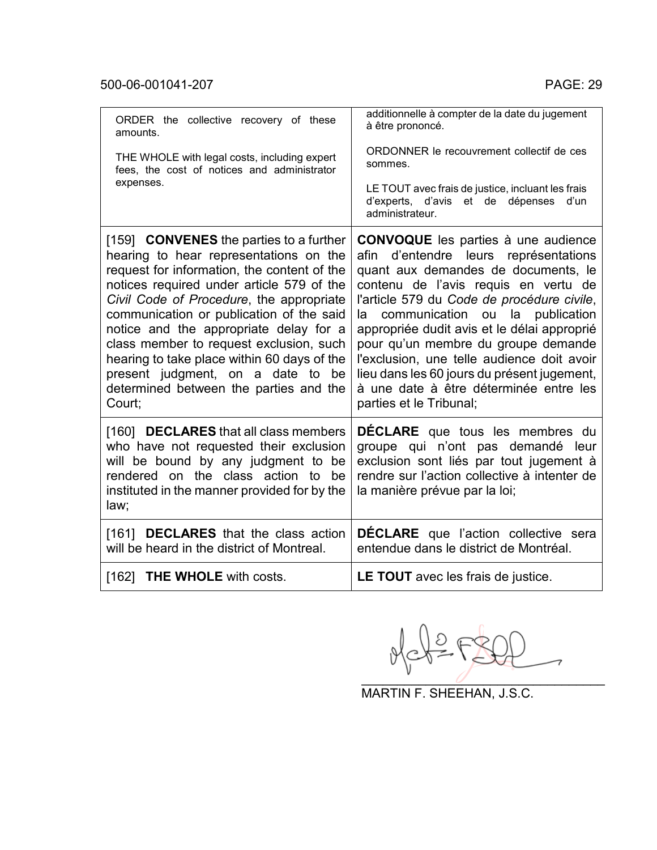| ORDER the collective recovery of these<br>amounts.                                                                                                                                                                                                                                                                                                                                                                                                                                                        | additionnelle à compter de la date du jugement<br>à être prononcé.                                                                                                                                                                                                                                                                                                                                                                                                                                                         |
|-----------------------------------------------------------------------------------------------------------------------------------------------------------------------------------------------------------------------------------------------------------------------------------------------------------------------------------------------------------------------------------------------------------------------------------------------------------------------------------------------------------|----------------------------------------------------------------------------------------------------------------------------------------------------------------------------------------------------------------------------------------------------------------------------------------------------------------------------------------------------------------------------------------------------------------------------------------------------------------------------------------------------------------------------|
| THE WHOLE with legal costs, including expert<br>fees, the cost of notices and administrator                                                                                                                                                                                                                                                                                                                                                                                                               | ORDONNER le recouvrement collectif de ces<br>sommes.                                                                                                                                                                                                                                                                                                                                                                                                                                                                       |
| expenses.                                                                                                                                                                                                                                                                                                                                                                                                                                                                                                 | LE TOUT avec frais de justice, incluant les frais<br>d'experts, d'avis et de dépenses<br>d'un<br>administrateur.                                                                                                                                                                                                                                                                                                                                                                                                           |
| [159] <b>CONVENES</b> the parties to a further<br>hearing to hear representations on the<br>request for information, the content of the<br>notices required under article 579 of the<br>Civil Code of Procedure, the appropriate<br>communication or publication of the said<br>notice and the appropriate delay for a<br>class member to request exclusion, such<br>hearing to take place within 60 days of the<br>present judgment, on a date to be<br>determined between the parties and the<br>Court; | <b>CONVOQUE</b> les parties à une audience<br>d'entendre leurs représentations<br>afin<br>quant aux demandes de documents, le<br>contenu de l'avis requis en vertu de<br>l'article 579 du Code de procédure civile,<br>communication ou<br>publication<br>la<br>la<br>appropriée dudit avis et le délai approprié<br>pour qu'un membre du groupe demande<br>l'exclusion, une telle audience doit avoir<br>lieu dans les 60 jours du présent jugement,<br>à une date à être déterminée entre les<br>parties et le Tribunal; |
| [160] <b>DECLARES</b> that all class members<br>who have not requested their exclusion<br>will be bound by any judgment to be<br>rendered on the class action to be<br>instituted in the manner provided for by the<br>law;                                                                                                                                                                                                                                                                               | <b>DECLARE</b> que tous les membres du<br>groupe qui n'ont pas demandé leur<br>exclusion sont liés par tout jugement à<br>rendre sur l'action collective à intenter de<br>la manière prévue par la loi;                                                                                                                                                                                                                                                                                                                    |
| [161] <b>DECLARES</b> that the class action<br>will be heard in the district of Montreal.                                                                                                                                                                                                                                                                                                                                                                                                                 | <b>DECLARE</b> que l'action collective sera<br>entendue dans le district de Montréal.                                                                                                                                                                                                                                                                                                                                                                                                                                      |
| [162] <b>THE WHOLE</b> with costs.                                                                                                                                                                                                                                                                                                                                                                                                                                                                        | <b>LE TOUT</b> avec les frais de justice.                                                                                                                                                                                                                                                                                                                                                                                                                                                                                  |

 $\overline{\phantom{a}}$ 

MARTIN F. SHEEHAN, J.S.C.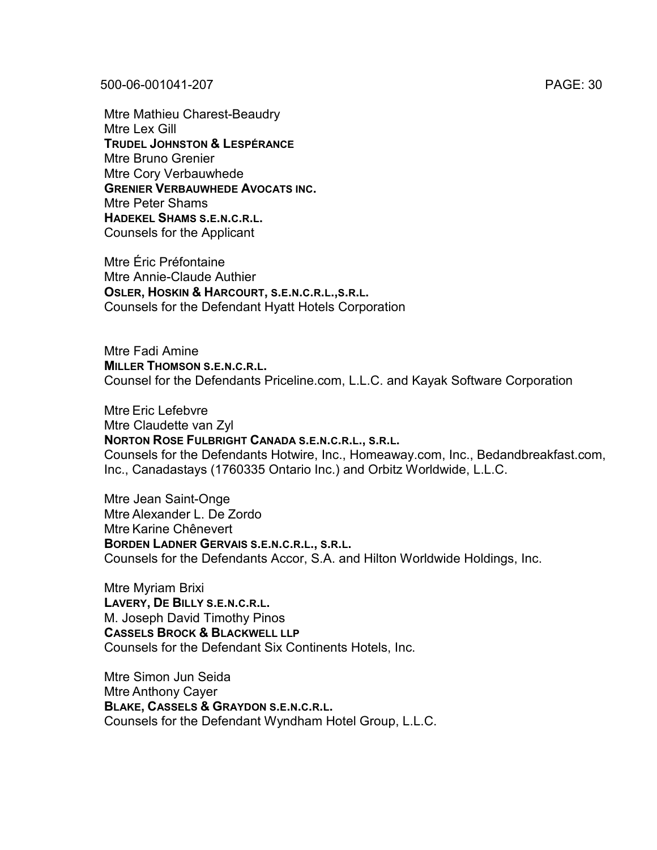Mtre Mathieu Charest-Beaudry Mtre Lex Gill **TRUDEL JOHNSTON & LESPÉRANCE** Mtre Bruno Grenier Mtre Cory Verbauwhede **GRENIER VERBAUWHEDE AVOCATS INC.** Mtre Peter Shams **HADEKEL SHAMS S.E.N.C.R.L.** Counsels for the Applicant

Mtre Éric Préfontaine Mtre Annie-Claude Authier **OSLER, HOSKIN & HARCOURT, S.E.N.C.R.L.,S.R.L.** Counsels for the Defendant Hyatt Hotels Corporation

Mtre Fadi Amine **MILLER THOMSON S.E.N.C.R.L.** Counsel for the Defendants Priceline.com, L.L.C. and Kayak Software Corporation

Mtre Eric Lefebvre Mtre Claudette van Zyl **NORTON ROSE FULBRIGHT CANADA S.E.N.C.R.L., S.R.L.** Counsels for the Defendants Hotwire, Inc., Homeaway.com, Inc., Bedandbreakfast.com, Inc., Canadastays (1760335 Ontario Inc.) and Orbitz Worldwide, L.L.C.

Mtre Jean Saint-Onge Mtre Alexander L. De Zordo Mtre Karine Chênevert **BORDEN LADNER GERVAIS S.E.N.C.R.L., S.R.L.** Counsels for the Defendants Accor, S.A. and Hilton Worldwide Holdings, Inc.

Mtre Myriam Brixi **LAVERY, DE BILLY S.E.N.C.R.L.** M. Joseph David Timothy Pinos **CASSELS BROCK & BLACKWELL LLP** Counsels for the Defendant Six Continents Hotels, Inc.

Mtre Simon Jun Seida Mtre Anthony Cayer **BLAKE, CASSELS & GRAYDON S.E.N.C.R.L.** Counsels for the Defendant Wyndham Hotel Group, L.L.C.